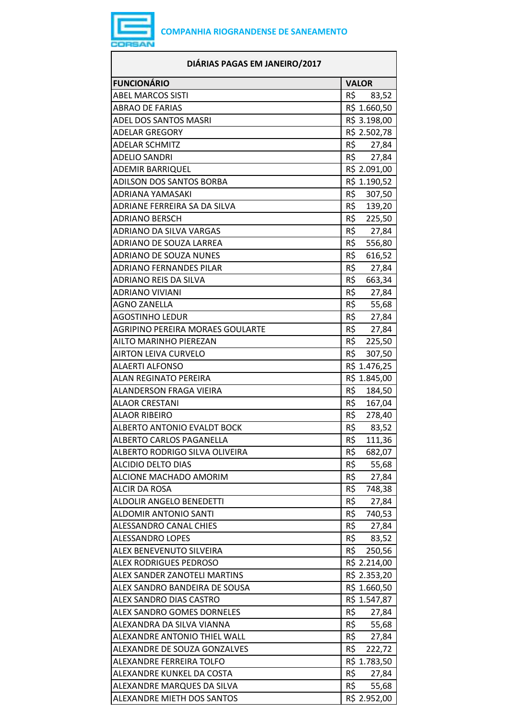

| DIÁRIAS PAGAS EM JANEIRO/2017           |                            |
|-----------------------------------------|----------------------------|
| <b>FUNCIONÁRIO</b>                      | <b>VALOR</b>               |
| <b>ABEL MARCOS SISTI</b>                | R\$<br>83,52               |
| <b>ABRAO DE FARIAS</b>                  | R\$ 1.660,50               |
| ADEL DOS SANTOS MASRI                   | R\$ 3.198,00               |
| <b>ADELAR GREGORY</b>                   | R\$ 2.502,78               |
| <b>ADELAR SCHMITZ</b>                   | R\$ 27,84                  |
| <b>ADELIO SANDRI</b>                    | R\$<br>27,84               |
| <b>ADEMIR BARRIQUEL</b>                 | R\$ 2.091,00               |
| <b>ADILSON DOS SANTOS BORBA</b>         | R\$ 1.190,52               |
| ADRIANA YAMASAKI                        | R\$ 307,50                 |
| ADRIANE FERREIRA SA DA SILVA            | R\$ 139,20                 |
| <b>ADRIANO BERSCH</b>                   | R\$ 225,50                 |
| <b>ADRIANO DA SILVA VARGAS</b>          | R\$<br>27,84               |
| ADRIANO DE SOUZA LARREA                 | R\$ 556,80                 |
| ADRIANO DE SOUZA NUNES                  | R\$ 616,52                 |
| <b>ADRIANO FERNANDES PILAR</b>          | R\$<br>27,84               |
| ADRIANO REIS DA SILVA                   | R\$<br>663,34              |
| <b>ADRIANO VIVIANI</b>                  | R\$<br>27,84               |
| AGNO ZANELLA                            | R\$ 55,68                  |
| <b>AGOSTINHO LEDUR</b>                  | R\$ 27,84                  |
| <b>AGRIPINO PEREIRA MORAES GOULARTE</b> | R\$                        |
| AILTO MARINHO PIEREZAN                  | 27,84<br>R\$               |
| AIRTON LEIVA CURVELO                    | 225,50<br>R\$              |
| <b>ALAERTI ALFONSO</b>                  | 307,50<br>R\$ 1.476,25     |
| <b>ALAN REGINATO PEREIRA</b>            |                            |
| ALANDERSON FRAGA VIEIRA                 | R\$ 1.845,00<br>R\$ 184,50 |
|                                         |                            |
| <b>ALAOR CRESTANI</b>                   | R\$<br>167,04              |
| <b>ALAOR RIBEIRO</b>                    | R\$<br>278,40<br>R\$       |
| ALBERTO ANTONIO EVALDT BOCK             | 83,52                      |
| ALBERTO CARLOS PAGANELLA                | R\$<br>111,36              |
| ALBERTO RODRIGO SILVA OLIVEIRA          | R\$<br>682,07              |
| <b>ALCIDIO DELTO DIAS</b>               | R\$<br>55,68               |
| ALCIONE MACHADO AMORIM                  | R\$<br>27,84               |
| <b>ALCIR DA ROSA</b>                    | R\$<br>748,38              |
| <b>ALDOLIR ANGELO BENEDETTI</b>         | R\$<br>27,84               |
| <b>ALDOMIR ANTONIO SANTI</b>            | R\$<br>740,53              |
| <b>ALESSANDRO CANAL CHIES</b>           | R\$<br>27,84               |
| <b>ALESSANDRO LOPES</b>                 | R\$<br>83,52               |
| ALEX BENEVENUTO SILVEIRA                | R\$<br>250,56              |
| <b>ALEX RODRIGUES PEDROSO</b>           | R\$ 2.214,00               |
| ALEX SANDER ZANOTELI MARTINS            | R\$ 2.353,20               |
| ALEX SANDRO BANDEIRA DE SOUSA           | R\$ 1.660,50               |
| ALEX SANDRO DIAS CASTRO                 | R\$ 1.547,87               |
| ALEX SANDRO GOMES DORNELES              | R\$<br>27,84               |
| ALEXANDRA DA SILVA VIANNA               | R\$<br>55,68               |
| ALEXANDRE ANTONIO THIEL WALL            | R\$<br>27,84               |
| ALEXANDRE DE SOUZA GONZALVES            | R\$<br>222,72              |
| ALEXANDRE FERREIRA TOLFO                | R\$ 1.783,50               |
| ALEXANDRE KUNKEL DA COSTA               | R\$<br>27,84               |
| ALEXANDRE MARQUES DA SILVA              | R\$<br>55,68               |
| ALEXANDRE MIETH DOS SANTOS              | R\$ 2.952,00               |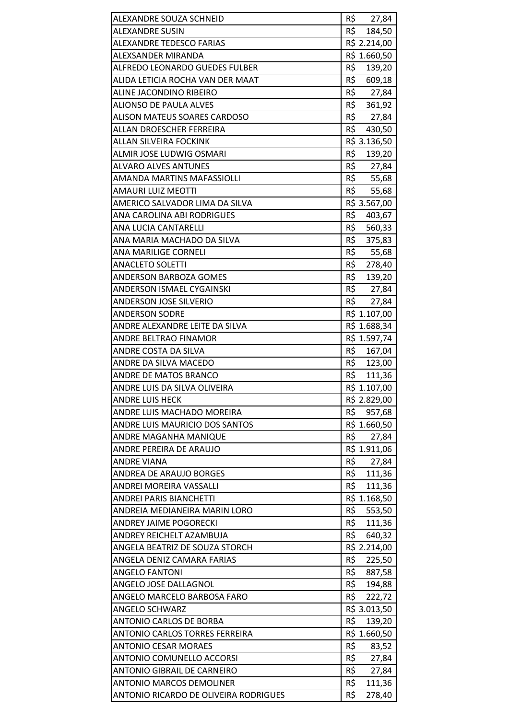| ALEXANDRE SOUZA SCHNEID<br><b>ALEXANDRE SUSIN</b> | R\$<br>27,84<br>R\$  |
|---------------------------------------------------|----------------------|
|                                                   | 184,50               |
| <b>ALEXANDRE TEDESCO FARIAS</b>                   | R\$ 2.214,00         |
| ALEXSANDER MIRANDA                                | R\$ 1.660,50         |
| ALFREDO LEONARDO GUEDES FULBER                    | R\$<br>139,20<br>R\$ |
| ALIDA LETICIA ROCHA VAN DER MAAT                  | 609,18               |
| ALINE JACONDINO RIBEIRO                           | R\$<br>27,84         |
| <b>ALIONSO DE PAULA ALVES</b>                     | R\$<br>361,92        |
| ALISON MATEUS SOARES CARDOSO                      | R\$<br>27,84         |
| ALLAN DROESCHER FERREIRA                          | R\$<br>430,50        |
| <b>ALLAN SILVEIRA FOCKINK</b>                     | R\$ 3.136,50         |
| ALMIR JOSE LUDWIG OSMARI                          | R\$<br>139,20        |
| <b>ALVARO ALVES ANTUNES</b>                       | R\$<br>27,84<br>R\$  |
| <b>AMANDA MARTINS MAFASSIOLLI</b>                 | 55,68                |
| AMAURI LUIZ MEOTTI                                | R\$ 55,68            |
| AMERICO SALVADOR LIMA DA SILVA                    | R\$ 3.567,00         |
| ANA CAROLINA ABI RODRIGUES                        | R\$<br>403,67        |
| <b>ANA LUCIA CANTARELLI</b>                       | R\$<br>560,33        |
| ANA MARIA MACHADO DA SILVA                        | R\$<br>375,83        |
| <b>ANA MARILIGE CORNELI</b>                       | R\$<br>55,68         |
| <b>ANACLETO SOLETTI</b>                           | R\$<br>278,40        |
| <b>ANDERSON BARBOZA GOMES</b>                     | R\$<br>139,20        |
| ANDERSON ISMAEL CYGAINSKI                         | R\$ 27,84            |
| <b>ANDERSON JOSE SILVERIO</b>                     | R\$<br>27,84         |
| <b>ANDERSON SODRE</b>                             | R\$ 1.107,00         |
| ANDRE ALEXANDRE LEITE DA SILVA                    | R\$ 1.688,34         |
| ANDRE BELTRAO FINAMOR                             | R\$ 1.597,74         |
| ANDRE COSTA DA SILVA                              | R\$<br>167,04        |
| ANDRE DA SILVA MACEDO                             | R\$<br>123,00        |
| ANDRE DE MATOS BRANCO                             | R\$<br>111,36        |
| ANDRE LUIS DA SILVA OLIVEIRA                      | R\$ 1.107,00         |
| <b>ANDRE LUIS HECK</b>                            | R\$ 2.829,00         |
| ANDRE LUIS MACHADO MOREIRA                        | R\$<br>957,68        |
| ANDRE LUIS MAURICIO DOS SANTOS                    | R\$ 1.660,50         |
| ANDRE MAGANHA MANIQUE                             | R\$<br>27,84         |
| ANDRE PEREIRA DE ARAUJO                           | R\$ 1.911,06         |
| <b>ANDRE VIANA</b>                                | R\$<br>27,84         |
| ANDREA DE ARAUJO BORGES                           | R\$<br>111,36        |
| ANDREI MOREIRA VASSALLI                           | R\$<br>111,36        |
| <b>ANDREI PARIS BIANCHETTI</b>                    | R\$ 1.168,50         |
| ANDREIA MEDIANEIRA MARIN LORO                     | R\$<br>553,50        |
| <b>ANDREY JAIME POGORECKI</b>                     | R\$<br>111,36        |
| ANDREY REICHELT AZAMBUJA                          | R\$<br>640,32        |
| ANGELA BEATRIZ DE SOUZA STORCH                    | R\$ 2.214,00         |
| ANGELA DENIZ CAMARA FARIAS                        | R\$<br>225,50        |
| <b>ANGELO FANTONI</b>                             | R\$<br>887,58        |
| ANGELO JOSE DALLAGNOL                             | R\$<br>194,88        |
| ANGELO MARCELO BARBOSA FARO                       | R\$<br>222,72        |
| <b>ANGELO SCHWARZ</b>                             | R\$ 3.013,50         |
| <b>ANTONIO CARLOS DE BORBA</b>                    | R\$<br>139,20        |
| <b>ANTONIO CARLOS TORRES FERREIRA</b>             | R\$ 1.660,50         |
| <b>ANTONIO CESAR MORAES</b>                       | R\$<br>83,52         |
| ANTONIO COMUNELLO ACCORSI                         | R\$ 27,84            |
| <b>ANTONIO GIBRAIL DE CARNEIRO</b>                | R\$<br>27,84         |
| <b>ANTONIO MARCOS DEMOLINER</b>                   | R\$<br>111,36        |
| ANTONIO RICARDO DE OLIVEIRA RODRIGUES             | R\$<br>278,40        |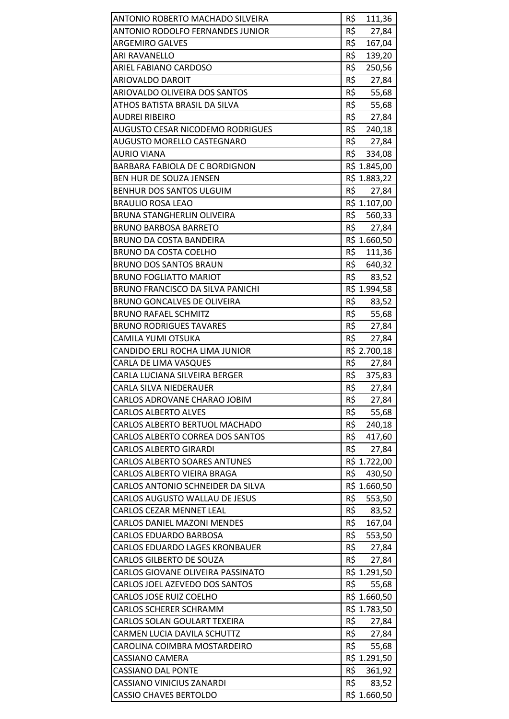| ANTONIO ROBERTO MACHADO SILVEIRA        | R\$<br>111,36 |
|-----------------------------------------|---------------|
| ANTONIO RODOLFO FERNANDES JUNIOR        | R\$<br>27,84  |
| <b>ARGEMIRO GALVES</b>                  | R\$<br>167,04 |
| ARI RAVANELLO                           | R\$<br>139,20 |
| <b>ARIEL FABIANO CARDOSO</b>            | R\$<br>250,56 |
| ARIOVALDO DAROIT                        | R\$<br>27,84  |
| ARIOVALDO OLIVEIRA DOS SANTOS           | R\$<br>55,68  |
| ATHOS BATISTA BRASIL DA SILVA           | R\$<br>55,68  |
| <b>AUDREI RIBEIRO</b>                   | R\$<br>27,84  |
| <b>AUGUSTO CESAR NICODEMO RODRIGUES</b> | R\$<br>240,18 |
| <b>AUGUSTO MORELLO CASTEGNARO</b>       | R\$<br>27,84  |
| AURIO VIANA                             | R\$<br>334,08 |
| BARBARA FABIOLA DE C BORDIGNON          | R\$ 1.845,00  |
| BEN HUR DE SOUZA JENSEN                 | R\$ 1.883,22  |
| <b>BENHUR DOS SANTOS ULGUIM</b>         | R\$<br>27,84  |
| <b>BRAULIO ROSA LEAO</b>                | R\$ 1.107,00  |
| BRUNA STANGHERLIN OLIVEIRA              | R\$<br>560,33 |
| <b>BRUNO BARBOSA BARRETO</b>            | R\$<br>27,84  |
| <b>BRUNO DA COSTA BANDEIRA</b>          | R\$ 1.660,50  |
| BRUNO DA COSTA COELHO                   | R\$<br>111,36 |
| <b>BRUNO DOS SANTOS BRAUN</b>           | R\$ 640,32    |
| <b>BRUNO FOGLIATTO MARIOT</b>           | R\$<br>83,52  |
| BRUNO FRANCISCO DA SILVA PANICHI        | R\$ 1.994,58  |
| BRUNO GONCALVES DE OLIVEIRA             | R\$<br>83,52  |
| <b>BRUNO RAFAEL SCHMITZ</b>             | R\$ 55,68     |
| <b>BRUNO RODRIGUES TAVARES</b>          | R\$<br>27,84  |
| CAMILA YUMI OTSUKA                      | R\$<br>27,84  |
| CANDIDO ERLI ROCHA LIMA JUNIOR          | R\$ 2.700,18  |
| CARLA DE LIMA VASQUES                   | R\$<br>27,84  |
| CARLA LUCIANA SILVEIRA BERGER           | R\$<br>375,83 |
| CARLA SILVA NIEDERAUER                  | R\$<br>27,84  |
| CARLOS ADROVANE CHARAO JOBIM            | R\$<br>27,84  |
| <b>CARLOS ALBERTO ALVES</b>             | R\$<br>55,68  |
| CARLOS ALBERTO BERTUOL MACHADO          | R\$<br>240,18 |
| CARLOS ALBERTO CORREA DOS SANTOS        | R\$<br>417,60 |
| <b>CARLOS ALBERTO GIRARDI</b>           | R\$<br>27,84  |
| CARLOS ALBERTO SOARES ANTUNES           | R\$ 1.722,00  |
| CARLOS ALBERTO VIEIRA BRAGA             | R\$<br>430,50 |
| CARLOS ANTONIO SCHNEIDER DA SILVA       | R\$ 1.660,50  |
| CARLOS AUGUSTO WALLAU DE JESUS          | R\$<br>553,50 |
| CARLOS CEZAR MENNET LEAL                | R\$<br>83,52  |
| CARLOS DANIEL MAZONI MENDES             | R\$<br>167,04 |
| <b>CARLOS EDUARDO BARBOSA</b>           | R\$<br>553,50 |
| CARLOS EDUARDO LAGES KRONBAUER          | R\$<br>27,84  |
| CARLOS GILBERTO DE SOUZA                | R\$<br>27,84  |
| CARLOS GIOVANE OLIVEIRA PASSINATO       | R\$ 1.291,50  |
| CARLOS JOEL AZEVEDO DOS SANTOS          | R\$<br>55,68  |
| CARLOS JOSE RUIZ COELHO                 | R\$ 1.660,50  |
| CARLOS SCHERER SCHRAMM                  | R\$ 1.783,50  |
| CARLOS SOLAN GOULART TEXEIRA            | R\$<br>27,84  |
| CARMEN LUCIA DAVILA SCHUTTZ             | R\$<br>27,84  |
| CAROLINA COIMBRA MOSTARDEIRO            | R\$<br>55,68  |
| CASSIANO CAMERA                         | R\$ 1.291,50  |
| <b>CASSIANO DAL PONTE</b>               | R\$<br>361,92 |
| <b>CASSIANO VINICIUS ZANARDI</b>        | R\$<br>83,52  |
| <b>CASSIO CHAVES BERTOLDO</b>           | R\$ 1.660,50  |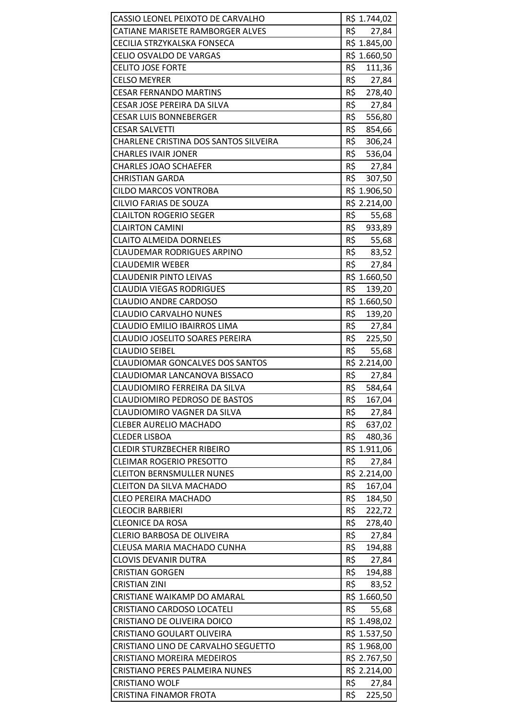| CASSIO LEONEL PEIXOTO DE CARVALHO      | R\$ 1.744,02  |
|----------------------------------------|---------------|
| CATIANE MARISETE RAMBORGER ALVES       | R\$<br>27,84  |
| CECILIA STRZYKALSKA FONSECA            | R\$ 1.845,00  |
| CELIO OSVALDO DE VARGAS                | R\$ 1.660,50  |
| <b>CELITO JOSE FORTE</b>               | R\$<br>111,36 |
| <b>CELSO MEYRER</b>                    | R\$ 27,84     |
| <b>CESAR FERNANDO MARTINS</b>          | R\$<br>278,40 |
| CESAR JOSE PEREIRA DA SILVA            | R\$<br>27,84  |
| <b>CESAR LUIS BONNEBERGER</b>          | R\$<br>556,80 |
| <b>CESAR SALVETTI</b>                  | R\$<br>854,66 |
| CHARLENE CRISTINA DOS SANTOS SILVEIRA  | R\$<br>306,24 |
| <b>CHARLES IVAIR JONER</b>             | R\$<br>536,04 |
| <b>CHARLES JOAO SCHAEFER</b>           | R\$<br>27,84  |
| <b>CHRISTIAN GARDA</b>                 | R\$<br>307,50 |
| <b>CILDO MARCOS VONTROBA</b>           | R\$ 1.906,50  |
| CILVIO FARIAS DE SOUZA                 | R\$ 2.214,00  |
| <b>CLAILTON ROGERIO SEGER</b>          | R\$<br>55,68  |
| <b>CLAIRTON CAMINI</b>                 | R\$<br>933,89 |
| <b>CLAITO ALMEIDA DORNELES</b>         | R\$<br>55,68  |
| <b>CLAUDEMAR RODRIGUES ARPINO</b>      | R\$ 83,52     |
| <b>CLAUDEMIR WEBER</b>                 | R\$ 27,84     |
| <b>CLAUDENIR PINTO LEIVAS</b>          | R\$ 1.660,50  |
| <b>CLAUDIA VIEGAS RODRIGUES</b>        | R\$<br>139,20 |
| <b>CLAUDIO ANDRE CARDOSO</b>           | R\$ 1.660,50  |
| <b>CLAUDIO CARVALHO NUNES</b>          | R\$<br>139,20 |
| CLAUDIO EMILIO IBAIRROS LIMA           | R\$<br>27,84  |
| CLAUDIO JOSELITO SOARES PEREIRA        | R\$<br>225,50 |
| <b>CLAUDIO SEIBEL</b>                  | R\$<br>55,68  |
| <b>CLAUDIOMAR GONCALVES DOS SANTOS</b> | R\$ 2.214,00  |
| CLAUDIOMAR LANCANOVA BISSACO           | R\$<br>27,84  |
| CLAUDIOMIRO FERREIRA DA SILVA          | R\$<br>584,64 |
|                                        |               |
| <b>CLAUDIOMIRO PEDROSO DE BASTOS</b>   | R\$<br>167,04 |
| CLAUDIOMIRO VAGNER DA SILVA            | R\$<br>27,84  |
| <b>CLEBER AURELIO MACHADO</b>          | R\$<br>637,02 |
| <b>CLEDER LISBOA</b>                   | R\$<br>480,36 |
| <b>CLEDIR STURZBECHER RIBEIRO</b>      | R\$ 1.911,06  |
| <b>CLEIMAR ROGERIO PRESOTTO</b>        | R\$<br>27,84  |
| <b>CLEITON BERNSMULLER NUNES</b>       | R\$ 2.214,00  |
| <b>CLEITON DA SILVA MACHADO</b>        | R\$<br>167,04 |
| <b>CLEO PEREIRA MACHADO</b>            | R\$<br>184,50 |
| <b>CLEOCIR BARBIERI</b>                | R\$<br>222,72 |
| <b>CLEONICE DA ROSA</b>                | R\$<br>278,40 |
| <b>CLERIO BARBOSA DE OLIVEIRA</b>      | R\$<br>27,84  |
| CLEUSA MARIA MACHADO CUNHA             | R\$<br>194,88 |
| <b>CLOVIS DEVANIR DUTRA</b>            | R\$<br>27,84  |
| <b>CRISTIAN GORGEN</b>                 | R\$<br>194,88 |
| <b>CRISTIAN ZINI</b>                   | R\$<br>83,52  |
| CRISTIANE WAIKAMP DO AMARAL            | R\$ 1.660,50  |
| <b>CRISTIANO CARDOSO LOCATELI</b>      | R\$<br>55,68  |
| CRISTIANO DE OLIVEIRA DOICO            | R\$ 1.498,02  |
| CRISTIANO GOULART OLIVEIRA             | R\$ 1.537,50  |
| CRISTIANO LINO DE CARVALHO SEGUETTO    | R\$ 1.968,00  |
| <b>CRISTIANO MOREIRA MEDEIROS</b>      | R\$ 2.767,50  |
| <b>CRISTIANO PERES PALMEIRA NUNES</b>  | R\$ 2.214,00  |
| <b>CRISTIANO WOLF</b>                  | R\$<br>27,84  |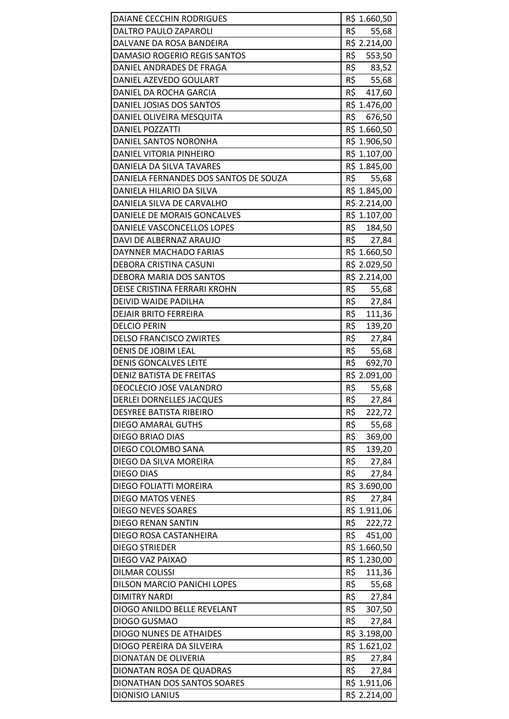| <b>DAIANE CECCHIN RODRIGUES</b>       | R\$ 1.660,50  |
|---------------------------------------|---------------|
| DALTRO PAULO ZAPAROLI                 | R\$<br>55,68  |
| DALVANE DA ROSA BANDEIRA              | R\$ 2.214,00  |
| DAMASIO ROGERIO REGIS SANTOS          | R\$<br>553,50 |
| DANIEL ANDRADES DE FRAGA              | R\$ 83,52     |
| DANIEL AZEVEDO GOULART                | $R\$ 55,68    |
| DANIEL DA ROCHA GARCIA                | R\$ 417,60    |
| DANIEL JOSIAS DOS SANTOS              | R\$ 1.476,00  |
| DANIEL OLIVEIRA MESQUITA              | R\$<br>676,50 |
| <b>DANIEL POZZATTI</b>                | R\$ 1.660,50  |
| DANIEL SANTOS NORONHA                 | R\$ 1.906,50  |
| DANIEL VITORIA PINHEIRO               | R\$ 1.107,00  |
| DANIELA DA SILVA TAVARES              | R\$ 1.845,00  |
| DANIELA FERNANDES DOS SANTOS DE SOUZA | R\$<br>55,68  |
| DANIELA HILARIO DA SILVA              | R\$ 1.845,00  |
| DANIELA SILVA DE CARVALHO             | R\$ 2.214,00  |
| DANIELE DE MORAIS GONCALVES           | R\$ 1.107,00  |
| DANIELE VASCONCELLOS LOPES            | R\$<br>184,50 |
| DAVI DE ALBERNAZ ARAUJO               | R\$<br>27,84  |
| DAYNNER MACHADO FARIAS                | R\$ 1.660,50  |
| DEBORA CRISTINA CASUNI                | R\$ 2.029,50  |
| DEBORA MARIA DOS SANTOS               | R\$ 2.214,00  |
| DEISE CRISTINA FERRARI KROHN          | R\$<br>55,68  |
| DEIVID WAIDE PADILHA                  | R\$<br>27,84  |
| <b>DEJAIR BRITO FERREIRA</b>          | R\$<br>111,36 |
| <b>DELCIO PERIN</b>                   | R\$<br>139,20 |
| <b>DELSO FRANCISCO ZWIRTES</b>        | R\$<br>27,84  |
| DENIS DE JOBIM LEAL                   | R\$<br>55,68  |
| <b>DENIS GONCALVES LEITE</b>          | R\$<br>692,70 |
| <b>DENIZ BATISTA DE FREITAS</b>       | R\$ 2.091,00  |
| DEOCLECIO JOSE VALANDRO               | R\$<br>55,68  |
| DERLEI DORNELLES JACQUES              | R\$<br>27,84  |
| DESYREE BATISTA RIBEIRO               | R\$<br>222,72 |
| DIEGO AMARAL GUTHS                    | R\$<br>55,68  |
| DIEGO BRIAO DIAS                      | R\$<br>369,00 |
| DIEGO COLOMBO SANA                    | R\$<br>139,20 |
| DIEGO DA SILVA MOREIRA                | R\$<br>27,84  |
| <b>DIEGO DIAS</b>                     | R\$<br>27,84  |
| DIEGO FOLIATTI MOREIRA                | R\$ 3.690,00  |
| <b>DIEGO MATOS VENES</b>              | R\$<br>27,84  |
| <b>DIEGO NEVES SOARES</b>             | R\$ 1.911,06  |
| DIEGO RENAN SANTIN                    | R\$<br>222,72 |
| DIEGO ROSA CASTANHEIRA                | R\$<br>451,00 |
| <b>DIEGO STRIEDER</b>                 | R\$ 1.660,50  |
| DIEGO VAZ PAIXAO                      | R\$ 1.230,00  |
| <b>DILMAR COLISSI</b>                 | R\$<br>111,36 |
| DILSON MARCIO PANICHI LOPES           | R\$<br>55,68  |
| <b>DIMITRY NARDI</b>                  | R\$<br>27,84  |
| DIOGO ANILDO BELLE REVELANT           | R\$<br>307,50 |
| DIOGO GUSMAO                          | R\$<br>27,84  |
| <b>DIOGO NUNES DE ATHAIDES</b>        | R\$ 3.198,00  |
| DIOGO PEREIRA DA SILVEIRA             | R\$ 1.621,02  |
| DIONATAN DE OLIVERIA                  | R\$<br>27,84  |
| DIONATAN ROSA DE QUADRAS              | R\$<br>27,84  |
| DIONATHAN DOS SANTOS SOARES           | R\$ 1.911,06  |
|                                       | R\$ 2.214,00  |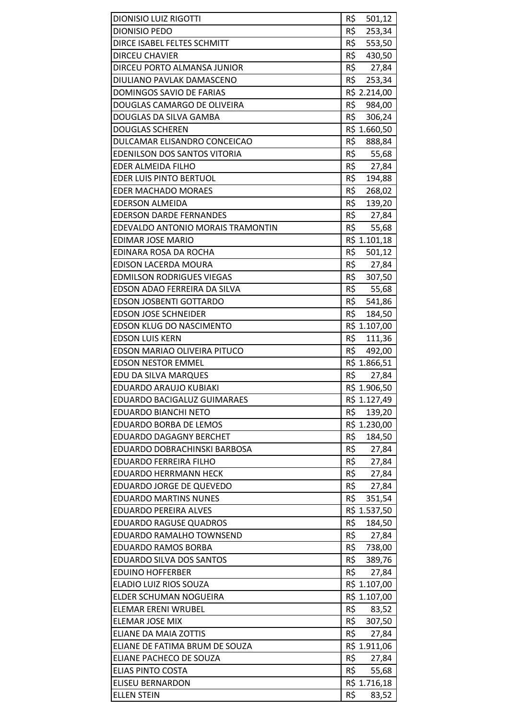| <b>DIONISIO LUIZ RIGOTTI</b>      | R\$<br>501,12 |
|-----------------------------------|---------------|
| <b>DIONISIO PEDO</b>              | R\$<br>253,34 |
| DIRCE ISABEL FELTES SCHMITT       | R\$<br>553,50 |
| <b>DIRCEU CHAVIER</b>             | R\$<br>430,50 |
| DIRCEU PORTO ALMANSA JUNIOR       | R\$<br>27,84  |
| DIULIANO PAVLAK DAMASCENO         | R\$<br>253,34 |
| DOMINGOS SAVIO DE FARIAS          | R\$ 2.214,00  |
| DOUGLAS CAMARGO DE OLIVEIRA       | R\$<br>984,00 |
| DOUGLAS DA SILVA GAMBA            | R\$<br>306,24 |
| <b>DOUGLAS SCHEREN</b>            | R\$ 1.660,50  |
| DULCAMAR ELISANDRO CONCEICAO      | R\$<br>888,84 |
| EDENILSON DOS SANTOS VITORIA      | R\$<br>55,68  |
| EDER ALMEIDA FILHO                | R\$<br>27,84  |
| <b>EDER LUIS PINTO BERTUOL</b>    | R\$<br>194,88 |
| <b>EDER MACHADO MORAES</b>        | R\$<br>268,02 |
| <b>EDERSON ALMEIDA</b>            | R\$<br>139,20 |
| <b>EDERSON DARDE FERNANDES</b>    | R\$<br>27,84  |
| EDEVALDO ANTONIO MORAIS TRAMONTIN | R\$<br>55,68  |
| EDIMAR JOSE MARIO                 | R\$ 1.101,18  |
| EDINARA ROSA DA ROCHA             | R\$<br>501,12 |
| <b>EDISON LACERDA MOURA</b>       | R\$<br>27,84  |
| <b>EDMILSON RODRIGUES VIEGAS</b>  | R\$<br>307,50 |
| EDSON ADAO FERREIRA DA SILVA      | R\$<br>55,68  |
| <b>EDSON JOSBENTI GOTTARDO</b>    | R\$<br>541,86 |
| <b>EDSON JOSE SCHNEIDER</b>       | R\$<br>184,50 |
| <b>EDSON KLUG DO NASCIMENTO</b>   | R\$ 1.107,00  |
| <b>EDSON LUIS KERN</b>            | R\$<br>111,36 |
| EDSON MARIAO OLIVEIRA PITUCO      | R\$<br>492,00 |
| <b>EDSON NESTOR EMMEL</b>         | R\$ 1.866,51  |
| EDU DA SILVA MARQUES              | R\$<br>27,84  |
| <b>EDUARDO ARAUJO KUBIAKI</b>     | R\$ 1.906,50  |
| EDUARDO BACIGALUZ GUIMARAES       | R\$ 1.127,49  |
| <b>EDUARDO BIANCHI NETO</b>       | R\$<br>139,20 |
| EDUARDO BORBA DE LEMOS            | R\$ 1.230,00  |
| <b>EDUARDO DAGAGNY BERCHET</b>    | R\$<br>184,50 |
| EDUARDO DOBRACHINSKI BARBOSA      | R\$<br>27,84  |
| EDUARDO FERREIRA FILHO            | R\$<br>27,84  |
| <b>EDUARDO HERRMANN HECK</b>      | R\$<br>27,84  |
| <b>EDUARDO JORGE DE QUEVEDO</b>   | R\$<br>27,84  |
| <b>EDUARDO MARTINS NUNES</b>      | R\$<br>351,54 |
| <b>EDUARDO PEREIRA ALVES</b>      | R\$ 1.537,50  |
| <b>EDUARDO RAGUSE QUADROS</b>     | R\$<br>184,50 |
| EDUARDO RAMALHO TOWNSEND          | R\$<br>27,84  |
| <b>EDUARDO RAMOS BORBA</b>        | R\$<br>738,00 |
| EDUARDO SILVA DOS SANTOS          | R\$<br>389,76 |
| <b>EDUINO HOFFERBER</b>           | R\$<br>27,84  |
| ELADIO LUIZ RIOS SOUZA            | R\$ 1.107,00  |
| ELDER SCHUMAN NOGUEIRA            | R\$ 1.107,00  |
| <b>ELEMAR ERENI WRUBEL</b>        | R\$<br>83,52  |
| ELEMAR JOSE MIX                   | R\$<br>307,50 |
| ELIANE DA MAIA ZOTTIS             | R\$<br>27,84  |
| ELIANE DE FATIMA BRUM DE SOUZA    | R\$ 1.911,06  |
| ELIANE PACHECO DE SOUZA           | R\$<br>27,84  |
| <b>ELIAS PINTO COSTA</b>          | R\$<br>55,68  |
| <b>ELISEU BERNARDON</b>           | R\$ 1.716,18  |
| <b>ELLEN STEIN</b>                | R\$<br>83,52  |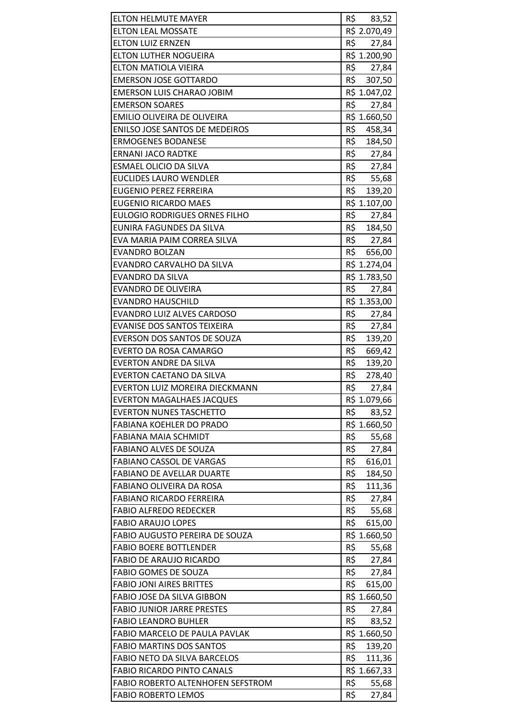| <b>ELTON HELMUTE MAYER</b>            | R\$<br>83,52  |
|---------------------------------------|---------------|
| <b>ELTON LEAL MOSSATE</b>             | R\$ 2.070,49  |
| <b>ELTON LUIZ ERNZEN</b>              | R\$<br>27,84  |
| ELTON LUTHER NOGUEIRA                 | R\$ 1.200,90  |
| <b>ELTON MATIOLA VIEIRA</b>           | R\$<br>27,84  |
| <b>EMERSON JOSE GOTTARDO</b>          | R\$<br>307,50 |
| <b>EMERSON LUIS CHARAO JOBIM</b>      | R\$ 1.047,02  |
| <b>EMERSON SOARES</b>                 | R\$<br>27,84  |
| EMILIO OLIVEIRA DE OLIVEIRA           | R\$ 1.660,50  |
| <b>ENILSO JOSE SANTOS DE MEDEIROS</b> | R\$<br>458,34 |
| <b>ERMOGENES BODANESE</b>             | R\$<br>184,50 |
| <b>ERNANI JACO RADTKE</b>             | R\$ 27,84     |
| ESMAEL OLICIO DA SILVA                | R\$ 27,84     |
| <b>EUCLIDES LAURO WENDLER</b>         | R\$<br>55,68  |
| <b>EUGENIO PEREZ FERREIRA</b>         | R\$<br>139,20 |
| <b>EUGENIO RICARDO MAES</b>           | R\$ 1.107,00  |
| <b>EULOGIO RODRIGUES ORNES FILHO</b>  | R\$<br>27,84  |
| EUNIRA FAGUNDES DA SILVA              | R\$ 184,50    |
| EVA MARIA PAIM CORREA SILVA           | R\$<br>27,84  |
| <b>EVANDRO BOLZAN</b>                 | R\$<br>656,00 |
| EVANDRO CARVALHO DA SILVA             | R\$ 1.274,04  |
| <b>EVANDRO DA SILVA</b>               | R\$ 1.783,50  |
| <b>EVANDRO DE OLIVEIRA</b>            | R\$<br>27,84  |
| <b>EVANDRO HAUSCHILD</b>              | R\$ 1.353,00  |
| EVANDRO LUIZ ALVES CARDOSO            | R\$<br>27,84  |
| <b>EVANISE DOS SANTOS TEIXEIRA</b>    | R\$<br>27,84  |
| EVERSON DOS SANTOS DE SOUZA           | R\$<br>139,20 |
| EVERTO DA ROSA CAMARGO                | R\$<br>669,42 |
| <b>EVERTON ANDRE DA SILVA</b>         | R\$<br>139,20 |
| <b>EVERTON CAETANO DA SILVA</b>       | R\$<br>278,40 |
| EVERTON LUIZ MOREIRA DIECKMANN        | R\$<br>27,84  |
| <b>EVERTON MAGALHAES JACQUES</b>      | R\$ 1.079,66  |
| <b>EVERTON NUNES TASCHETTO</b>        | R\$<br>83,52  |
| FABIANA KOEHLER DO PRADO              | R\$ 1.660,50  |
| FABIANA MAIA SCHMIDT                  | R\$<br>55,68  |
| FABIANO ALVES DE SOUZA                | R\$<br>27,84  |
| <b>FABIANO CASSOL DE VARGAS</b>       | R\$<br>616,01 |
| <b>FABIANO DE AVELLAR DUARTE</b>      | R\$<br>184,50 |
| FABIANO OLIVEIRA DA ROSA              | R\$<br>111,36 |
| <b>FABIANO RICARDO FERREIRA</b>       | R\$<br>27,84  |
| <b>FABIO ALFREDO REDECKER</b>         | R\$<br>55,68  |
| <b>FABIO ARAUJO LOPES</b>             | R\$<br>615,00 |
| FABIO AUGUSTO PEREIRA DE SOUZA        | R\$ 1.660,50  |
| <b>FABIO BOERE BOTTLENDER</b>         | R\$<br>55,68  |
| <b>FABIO DE ARAUJO RICARDO</b>        | R\$<br>27,84  |
| <b>FABIO GOMES DE SOUZA</b>           | R\$<br>27,84  |
| <b>FABIO JONI AIRES BRITTES</b>       | R\$<br>615,00 |
| FABIO JOSE DA SILVA GIBBON            | R\$ 1.660,50  |
| <b>FABIO JUNIOR JARRE PRESTES</b>     | R\$<br>27,84  |
| <b>FABIO LEANDRO BUHLER</b>           | R\$<br>83,52  |
| FABIO MARCELO DE PAULA PAVLAK         | R\$ 1.660,50  |
| <b>FABIO MARTINS DOS SANTOS</b>       | R\$<br>139,20 |
| FABIO NETO DA SILVA BARCELOS          | R\$<br>111,36 |
| <b>FABIO RICARDO PINTO CANALS</b>     | R\$ 1.667,33  |
| FABIO ROBERTO ALTENHOFEN SEFSTROM     | R\$<br>55,68  |
|                                       | R\$<br>27,84  |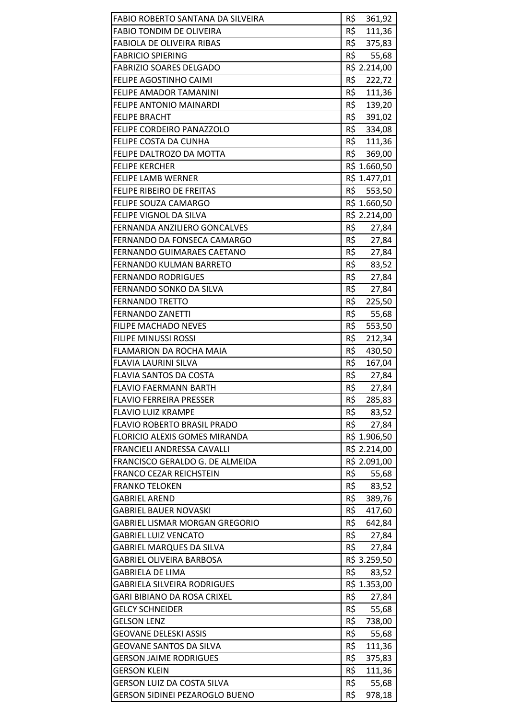| FABIO ROBERTO SANTANA DA SILVEIRA     | R\$<br>361,92<br>R\$ |
|---------------------------------------|----------------------|
| <b>FABIO TONDIM DE OLIVEIRA</b>       | 111,36               |
| <b>FABIOLA DE OLIVEIRA RIBAS</b>      | R\$<br>375,83<br>R\$ |
| <b>FABRICIO SPIERING</b>              | 55,68                |
| <b>FABRIZIO SOARES DELGADO</b>        | R\$ 2.214,00         |
| FELIPE AGOSTINHO CAIMI                | R\$<br>222,72        |
| FELIPE AMADOR TAMANINI                | R\$<br>111,36        |
| FELIPE ANTONIO MAINARDI               | R\$<br>139,20        |
| <b>FELIPE BRACHT</b>                  | R\$<br>391,02        |
| <b>FELIPE CORDEIRO PANAZZOLO</b>      | R\$<br>334,08        |
| FELIPE COSTA DA CUNHA                 | R\$<br>111,36        |
| FELIPE DALTROZO DA MOTTA              | R\$<br>369,00        |
| <b>FELIPE KERCHER</b>                 | R\$ 1.660,50         |
| <b>FELIPE LAMB WERNER</b>             | R\$ 1.477,01         |
| <b>FELIPE RIBEIRO DE FREITAS</b>      | R\$<br>553,50        |
| FELIPE SOUZA CAMARGO                  | R\$ 1.660,50         |
| FELIPE VIGNOL DA SILVA                | R\$ 2.214,00         |
| FERNANDA ANZILIERO GONCALVES          | R\$<br>27,84         |
| FERNANDO DA FONSECA CAMARGO           | R\$<br>27,84         |
| <b>FERNANDO GUIMARAES CAETANO</b>     | R\$<br>27,84         |
| FERNANDO KULMAN BARRETO               | R\$<br>83,52         |
| <b>FERNANDO RODRIGUES</b>             | R\$<br>27,84         |
| FERNANDO SONKO DA SILVA               | R\$<br>27,84         |
| <b>FERNANDO TRETTO</b>                | R\$<br>225,50        |
| <b>FERNANDO ZANETTI</b>               | R\$<br>55,68         |
| FILIPE MACHADO NEVES                  | R\$<br>553,50        |
| FILIPE MINUSSI ROSSI                  | R\$<br>212,34        |
| FLAMARION DA ROCHA MAIA               | R\$<br>430,50        |
| <b>FLAVIA LAURINI SILVA</b>           | R\$<br>167,04        |
| FLAVIA SANTOS DA COSTA                | R\$<br>27,84         |
| <b>FLAVIO FAERMANN BARTH</b>          | R\$<br>27,84         |
| <b>FLAVIO FERREIRA PRESSER</b>        | R\$<br>285,83        |
| <b>FLAVIO LUIZ KRAMPE</b>             | R\$<br>83,52         |
|                                       | R\$<br>27,84         |
| <b>FLAVIO ROBERTO BRASIL PRADO</b>    |                      |
| <b>FLORICIO ALEXIS GOMES MIRANDA</b>  | R\$ 1.906,50         |
| FRANCIELI ANDRESSA CAVALLI            | R\$ 2.214,00         |
| FRANCISCO GERALDO G. DE ALMEIDA       | R\$ 2.091,00         |
| <b>FRANCO CEZAR REICHSTEIN</b>        | R\$<br>55,68         |
| <b>FRANKO TELOKEN</b>                 | R\$<br>83,52         |
| <b>GABRIEL AREND</b>                  | R\$<br>389,76        |
| <b>GABRIEL BAUER NOVASKI</b>          | R\$<br>417,60        |
| <b>GABRIEL LISMAR MORGAN GREGORIO</b> | R\$<br>642,84        |
| <b>GABRIEL LUIZ VENCATO</b>           | R\$<br>27,84         |
| <b>GABRIEL MARQUES DA SILVA</b>       | R\$<br>27,84         |
| <b>GABRIEL OLIVEIRA BARBOSA</b>       | R\$ 3.259,50         |
| <b>GABRIELA DE LIMA</b>               | R\$<br>83,52         |
| <b>GABRIELA SILVEIRA RODRIGUES</b>    | R\$ 1.353,00         |
| <b>GARI BIBIANO DA ROSA CRIXEL</b>    | R\$<br>27,84         |
| <b>GELCY SCHNEIDER</b>                | R\$<br>55,68         |
| <b>GELSON LENZ</b>                    | R\$<br>738,00        |
| <b>GEOVANE DELESKI ASSIS</b>          | R\$<br>55,68         |
| <b>GEOVANE SANTOS DA SILVA</b>        | R\$<br>111,36        |
| <b>GERSON JAIME RODRIGUES</b>         | R\$<br>375,83        |
| <b>GERSON KLEIN</b>                   | R\$<br>111,36        |
| <b>GERSON LUIZ DA COSTA SILVA</b>     | R\$<br>55,68<br>R\$  |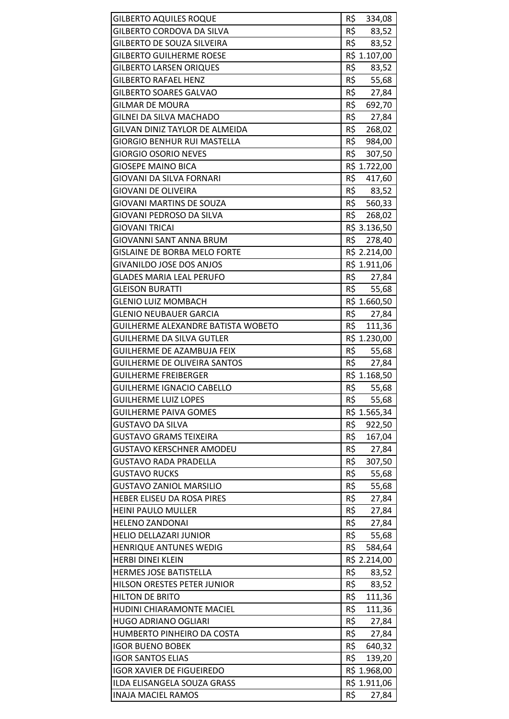| <b>GILBERTO AQUILES ROQUE</b>      | R\$<br>334,08            |
|------------------------------------|--------------------------|
| GILBERTO CORDOVA DA SILVA          | R\$<br>83,52             |
| GILBERTO DE SOUZA SILVEIRA         | R\$<br>83,52             |
| <b>GILBERTO GUILHERME ROESE</b>    | R\$ 1.107,00             |
| <b>GILBERTO LARSEN ORIQUES</b>     | R\$<br>83,52             |
| <b>GILBERTO RAFAEL HENZ</b>        | R\$<br>55,68             |
| <b>GILBERTO SOARES GALVAO</b>      | R\$<br>27,84             |
| <b>GILMAR DE MOURA</b>             | R\$<br>692,70            |
| GILNEI DA SILVA MACHADO            | $R\overline{5}$<br>27,84 |
| GILVAN DINIZ TAYLOR DE ALMEIDA     | R\$<br>268,02            |
| <b>GIORGIO BENHUR RUI MASTELLA</b> | R\$<br>984,00            |
| <b>GIORGIO OSORIO NEVES</b>        | R\$<br>307,50            |
| <b>GIOSEPE MAINO BICA</b>          | R\$ 1.722,00             |
| GIOVANI DA SILVA FORNARI           | R\$<br>417,60            |
| GIOVANI DE OLIVEIRA                | R\$ 83,52                |
| <b>GIOVANI MARTINS DE SOUZA</b>    | R\$ 560,33               |
| GIOVANI PEDROSO DA SILVA           | R\$<br>268,02            |
| <b>GIOVANI TRICAI</b>              | R\$ 3.136,50             |
| GIOVANNI SANT ANNA BRUM            | R\$<br>278,40            |
| GISLAINE DE BORBA MELO FORTE       | R\$ 2.214,00             |
| <b>GIVANILDO JOSE DOS ANJOS</b>    | R\$ 1.911,06             |
| GLADES MARIA LEAL PERUFO           | R\$<br>27,84             |
| <b>GLEISON BURATTI</b>             | $R\zeta$<br>55,68        |
| GLENIO LUIZ MOMBACH                | R\$ 1.660,50             |
| GLENIO NEUBAUER GARCIA             | R\$<br>27,84             |
| GUILHERME ALEXANDRE BATISTA WOBETO | R\$<br>111,36            |
| GUILHERME DA SILVA GUTLER          | R\$ 1.230,00             |
| <b>GUILHERME DE AZAMBUJA FEIX</b>  | R\$<br>55,68             |
| GUILHERME DE OLIVEIRA SANTOS       | R\$<br>27,84             |
| <b>GUILHERME FREIBERGER</b>        | R\$ 1.168,50             |
| <b>GUILHERME IGNACIO CABELLO</b>   | R\$<br>55,68             |
| <b>GUILHERME LUIZ LOPES</b>        | R\$<br>55,68             |
| <b>GUILHERME PAIVA GOMES</b>       | R\$ 1.565,34             |
| <b>GUSTAVO DA SILVA</b>            | R\$<br>922,50            |
| <b>GUSTAVO GRAMS TEIXEIRA</b>      | R\$<br>167,04            |
| <b>GUSTAVO KERSCHNER AMODEU</b>    | R\$<br>27,84             |
| <b>GUSTAVO RADA PRADELLA</b>       | R\$<br>307,50            |
| <b>GUSTAVO RUCKS</b>               | R\$<br>55,68             |
| <b>GUSTAVO ZANIOL MARSILIO</b>     | R\$<br>55,68             |
| HEBER ELISEU DA ROSA PIRES         | R\$<br>27,84             |
| <b>HEINI PAULO MULLER</b>          | R\$<br>27,84             |
| <b>HELENO ZANDONAI</b>             | R\$<br>27,84             |
| <b>HELIO DELLAZARI JUNIOR</b>      | R\$<br>55,68             |
| <b>HENRIQUE ANTUNES WEDIG</b>      | R\$<br>584,64            |
| <b>HERBI DINEI KLEIN</b>           | R\$ 2.214,00             |
| <b>HERMES JOSE BATISTELLA</b>      | R\$<br>83,52             |
| HILSON ORESTES PETER JUNIOR        | R\$<br>83,52             |
| HILTON DE BRITO                    | R\$<br>111,36            |
| HUDINI CHIARAMONTE MACIEL          | R\$<br>111,36            |
| <b>HUGO ADRIANO OGLIARI</b>        | R\$<br>27,84             |
| HUMBERTO PINHEIRO DA COSTA         | R\$<br>27,84             |
| <b>IGOR BUENO BOBEK</b>            | R\$<br>640,32            |
| <b>IGOR SANTOS ELIAS</b>           | R\$<br>139,20            |
| <b>IGOR XAVIER DE FIGUEIREDO</b>   | R\$ 1.968,00             |
| ILDA ELISANGELA SOUZA GRASS        | R\$ 1.911,06             |
| <b>INAJA MACIEL RAMOS</b>          | R\$<br>27,84             |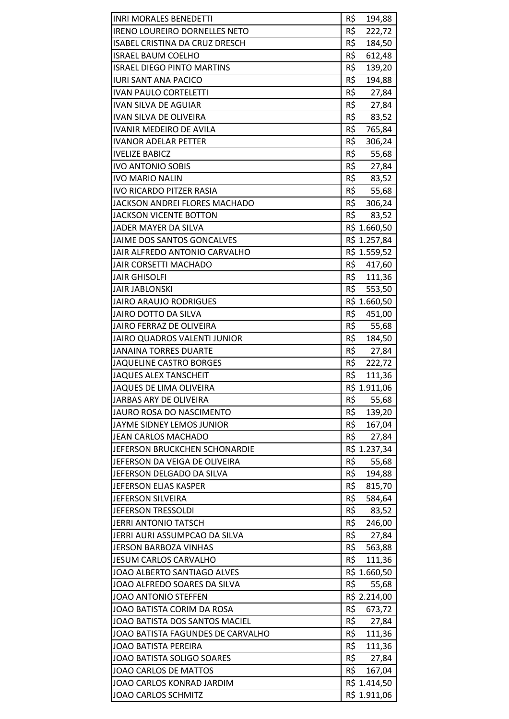| R\$<br><b>IRENO LOUREIRO DORNELLES NETO</b><br>222,72<br>ISABEL CRISTINA DA CRUZ DRESCH<br>R\$<br>184,50<br>R\$<br><b>ISRAEL BAUM COELHO</b><br>612,48<br>R\$<br><b>ISRAEL DIEGO PINTO MARTINS</b><br>139,20<br>R\$<br><b>IURI SANT ANA PACICO</b><br>194,88<br>R\$<br><b>IVAN PAULO CORTELETTI</b><br>27,84<br>R\$<br><b>IVAN SILVA DE AGUIAR</b><br>27,84<br>R\$<br>83,52<br><b>IVAN SILVA DE OLIVEIRA</b><br>R\$<br><b>IVANIR MEDEIRO DE AVILA</b><br>765,84<br>R\$<br><b>IVANOR ADELAR PETTER</b><br>306,24<br>R\$<br><b>IVELIZE BABICZ</b><br>55,68<br>R\$<br><b>IVO ANTONIO SOBIS</b><br>27,84<br>R\$<br><b>IVO MARIO NALIN</b><br>83,52<br>R\$<br><b>IVO RICARDO PITZER RASIA</b><br>55,68<br>R\$<br>306,24<br>JACKSON ANDREI FLORES MACHADO<br>R\$<br><b>JACKSON VICENTE BOTTON</b><br>83,52<br>R\$ 1.660,50<br>JADER MAYER DA SILVA<br>R\$ 1.257,84<br><b>JAIME DOS SANTOS GONCALVES</b><br>R\$ 1.559,52<br>JAIR ALFREDO ANTONIO CARVALHO<br>JAIR CORSETTI MACHADO<br>R\$ 417,60<br>R\$<br><b>JAIR GHISOLFI</b><br>111,36<br>R\$<br><b>JAIR JABLONSKI</b><br>553,50<br>R\$ 1.660,50<br><b>JAIRO ARAUJO RODRIGUES</b><br>R\$<br><b>JAIRO DOTTO DA SILVA</b><br>451,00<br>R\$<br>JAIRO FERRAZ DE OLIVEIRA<br>55,68<br>R\$<br>JAIRO QUADROS VALENTI JUNIOR<br>184,50<br>R\$<br><b>JANAINA TORRES DUARTE</b><br>27,84<br>R\$<br><b>JAQUELINE CASTRO BORGES</b><br>222,72<br>R\$<br><b>JAQUES ALEX TANSCHEIT</b><br>111,36<br>R\$ 1.911,06<br><b>JAQUES DE LIMA OLIVEIRA</b><br>JARBAS ARY DE OLIVEIRA<br>R\$<br>55,68<br>JAURO ROSA DO NASCIMENTO<br>R\$<br>139,20<br>R\$<br>JAYME SIDNEY LEMOS JUNIOR<br>167,04<br>R\$<br><b>JEAN CARLOS MACHADO</b><br>27,84<br>JEFERSON BRUCKCHEN SCHONARDIE<br>R\$ 1.237,34<br>R\$<br>55,68<br>JEFERSON DA VEIGA DE OLIVEIRA<br>JEFERSON DELGADO DA SILVA<br>R\$<br>194,88<br>R\$<br>JEFERSON ELIAS KASPER<br>815,70<br>R\$<br><b>JEFERSON SILVEIRA</b><br>584,64<br>R\$<br>JEFERSON TRESSOLDI<br>83,52<br>R\$<br>246,00<br><b>JERRI ANTONIO TATSCH</b><br>R\$<br>JERRI AURI ASSUMPCAO DA SILVA<br>27,84<br>R\$<br>563,88<br><b>JERSON BARBOZA VINHAS</b><br>R\$<br><b>JESUM CARLOS CARVALHO</b><br>111,36<br>R\$ 1.660,50<br>JOAO ALBERTO SANTIAGO ALVES<br>R\$<br>JOAO ALFREDO SOARES DA SILVA<br>55,68<br>JOAO ANTONIO STEFFEN<br>R\$ 2.214,00<br>R\$<br>JOAO BATISTA CORIM DA ROSA<br>673,72<br>R\$<br>JOAO BATISTA DOS SANTOS MACIEL<br>27,84<br>R\$<br>JOAO BATISTA FAGUNDES DE CARVALHO<br>111,36<br>R\$<br>111,36<br>JOAO BATISTA PEREIRA | R\$<br>27,84<br>R\$<br>167,04 | JOAO BATISTA SOLIGO SOARES<br><b>JOAO CARLOS DE MATTOS</b><br><b>JOAO CARLOS KONRAD JARDIM</b><br>R\$ 1.414,50 |                               |               |
|--------------------------------------------------------------------------------------------------------------------------------------------------------------------------------------------------------------------------------------------------------------------------------------------------------------------------------------------------------------------------------------------------------------------------------------------------------------------------------------------------------------------------------------------------------------------------------------------------------------------------------------------------------------------------------------------------------------------------------------------------------------------------------------------------------------------------------------------------------------------------------------------------------------------------------------------------------------------------------------------------------------------------------------------------------------------------------------------------------------------------------------------------------------------------------------------------------------------------------------------------------------------------------------------------------------------------------------------------------------------------------------------------------------------------------------------------------------------------------------------------------------------------------------------------------------------------------------------------------------------------------------------------------------------------------------------------------------------------------------------------------------------------------------------------------------------------------------------------------------------------------------------------------------------------------------------------------------------------------------------------------------------------------------------------------------------------------------------------------------------------------------------------------------------------------------------------------------------------------------------------------------------------------------------------------------------------------------------------------------------------------------------------------------------------------------------------------------------------------------------|-------------------------------|----------------------------------------------------------------------------------------------------------------|-------------------------------|---------------|
|                                                                                                                                                                                                                                                                                                                                                                                                                                                                                                                                                                                                                                                                                                                                                                                                                                                                                                                                                                                                                                                                                                                                                                                                                                                                                                                                                                                                                                                                                                                                                                                                                                                                                                                                                                                                                                                                                                                                                                                                                                                                                                                                                                                                                                                                                                                                                                                                                                                                                            |                               |                                                                                                                | <b>INRI MORALES BENEDETTI</b> | R\$<br>194,88 |
|                                                                                                                                                                                                                                                                                                                                                                                                                                                                                                                                                                                                                                                                                                                                                                                                                                                                                                                                                                                                                                                                                                                                                                                                                                                                                                                                                                                                                                                                                                                                                                                                                                                                                                                                                                                                                                                                                                                                                                                                                                                                                                                                                                                                                                                                                                                                                                                                                                                                                            |                               |                                                                                                                |                               |               |
|                                                                                                                                                                                                                                                                                                                                                                                                                                                                                                                                                                                                                                                                                                                                                                                                                                                                                                                                                                                                                                                                                                                                                                                                                                                                                                                                                                                                                                                                                                                                                                                                                                                                                                                                                                                                                                                                                                                                                                                                                                                                                                                                                                                                                                                                                                                                                                                                                                                                                            |                               |                                                                                                                |                               |               |
|                                                                                                                                                                                                                                                                                                                                                                                                                                                                                                                                                                                                                                                                                                                                                                                                                                                                                                                                                                                                                                                                                                                                                                                                                                                                                                                                                                                                                                                                                                                                                                                                                                                                                                                                                                                                                                                                                                                                                                                                                                                                                                                                                                                                                                                                                                                                                                                                                                                                                            |                               |                                                                                                                |                               |               |
|                                                                                                                                                                                                                                                                                                                                                                                                                                                                                                                                                                                                                                                                                                                                                                                                                                                                                                                                                                                                                                                                                                                                                                                                                                                                                                                                                                                                                                                                                                                                                                                                                                                                                                                                                                                                                                                                                                                                                                                                                                                                                                                                                                                                                                                                                                                                                                                                                                                                                            |                               |                                                                                                                |                               |               |
|                                                                                                                                                                                                                                                                                                                                                                                                                                                                                                                                                                                                                                                                                                                                                                                                                                                                                                                                                                                                                                                                                                                                                                                                                                                                                                                                                                                                                                                                                                                                                                                                                                                                                                                                                                                                                                                                                                                                                                                                                                                                                                                                                                                                                                                                                                                                                                                                                                                                                            |                               |                                                                                                                |                               |               |
|                                                                                                                                                                                                                                                                                                                                                                                                                                                                                                                                                                                                                                                                                                                                                                                                                                                                                                                                                                                                                                                                                                                                                                                                                                                                                                                                                                                                                                                                                                                                                                                                                                                                                                                                                                                                                                                                                                                                                                                                                                                                                                                                                                                                                                                                                                                                                                                                                                                                                            |                               |                                                                                                                |                               |               |
|                                                                                                                                                                                                                                                                                                                                                                                                                                                                                                                                                                                                                                                                                                                                                                                                                                                                                                                                                                                                                                                                                                                                                                                                                                                                                                                                                                                                                                                                                                                                                                                                                                                                                                                                                                                                                                                                                                                                                                                                                                                                                                                                                                                                                                                                                                                                                                                                                                                                                            |                               |                                                                                                                |                               |               |
|                                                                                                                                                                                                                                                                                                                                                                                                                                                                                                                                                                                                                                                                                                                                                                                                                                                                                                                                                                                                                                                                                                                                                                                                                                                                                                                                                                                                                                                                                                                                                                                                                                                                                                                                                                                                                                                                                                                                                                                                                                                                                                                                                                                                                                                                                                                                                                                                                                                                                            |                               |                                                                                                                |                               |               |
|                                                                                                                                                                                                                                                                                                                                                                                                                                                                                                                                                                                                                                                                                                                                                                                                                                                                                                                                                                                                                                                                                                                                                                                                                                                                                                                                                                                                                                                                                                                                                                                                                                                                                                                                                                                                                                                                                                                                                                                                                                                                                                                                                                                                                                                                                                                                                                                                                                                                                            |                               |                                                                                                                |                               |               |
|                                                                                                                                                                                                                                                                                                                                                                                                                                                                                                                                                                                                                                                                                                                                                                                                                                                                                                                                                                                                                                                                                                                                                                                                                                                                                                                                                                                                                                                                                                                                                                                                                                                                                                                                                                                                                                                                                                                                                                                                                                                                                                                                                                                                                                                                                                                                                                                                                                                                                            |                               |                                                                                                                |                               |               |
|                                                                                                                                                                                                                                                                                                                                                                                                                                                                                                                                                                                                                                                                                                                                                                                                                                                                                                                                                                                                                                                                                                                                                                                                                                                                                                                                                                                                                                                                                                                                                                                                                                                                                                                                                                                                                                                                                                                                                                                                                                                                                                                                                                                                                                                                                                                                                                                                                                                                                            |                               |                                                                                                                |                               |               |
|                                                                                                                                                                                                                                                                                                                                                                                                                                                                                                                                                                                                                                                                                                                                                                                                                                                                                                                                                                                                                                                                                                                                                                                                                                                                                                                                                                                                                                                                                                                                                                                                                                                                                                                                                                                                                                                                                                                                                                                                                                                                                                                                                                                                                                                                                                                                                                                                                                                                                            |                               |                                                                                                                |                               |               |
|                                                                                                                                                                                                                                                                                                                                                                                                                                                                                                                                                                                                                                                                                                                                                                                                                                                                                                                                                                                                                                                                                                                                                                                                                                                                                                                                                                                                                                                                                                                                                                                                                                                                                                                                                                                                                                                                                                                                                                                                                                                                                                                                                                                                                                                                                                                                                                                                                                                                                            |                               |                                                                                                                |                               |               |
|                                                                                                                                                                                                                                                                                                                                                                                                                                                                                                                                                                                                                                                                                                                                                                                                                                                                                                                                                                                                                                                                                                                                                                                                                                                                                                                                                                                                                                                                                                                                                                                                                                                                                                                                                                                                                                                                                                                                                                                                                                                                                                                                                                                                                                                                                                                                                                                                                                                                                            |                               |                                                                                                                |                               |               |
|                                                                                                                                                                                                                                                                                                                                                                                                                                                                                                                                                                                                                                                                                                                                                                                                                                                                                                                                                                                                                                                                                                                                                                                                                                                                                                                                                                                                                                                                                                                                                                                                                                                                                                                                                                                                                                                                                                                                                                                                                                                                                                                                                                                                                                                                                                                                                                                                                                                                                            |                               |                                                                                                                |                               |               |
|                                                                                                                                                                                                                                                                                                                                                                                                                                                                                                                                                                                                                                                                                                                                                                                                                                                                                                                                                                                                                                                                                                                                                                                                                                                                                                                                                                                                                                                                                                                                                                                                                                                                                                                                                                                                                                                                                                                                                                                                                                                                                                                                                                                                                                                                                                                                                                                                                                                                                            |                               |                                                                                                                |                               |               |
|                                                                                                                                                                                                                                                                                                                                                                                                                                                                                                                                                                                                                                                                                                                                                                                                                                                                                                                                                                                                                                                                                                                                                                                                                                                                                                                                                                                                                                                                                                                                                                                                                                                                                                                                                                                                                                                                                                                                                                                                                                                                                                                                                                                                                                                                                                                                                                                                                                                                                            |                               |                                                                                                                |                               |               |
|                                                                                                                                                                                                                                                                                                                                                                                                                                                                                                                                                                                                                                                                                                                                                                                                                                                                                                                                                                                                                                                                                                                                                                                                                                                                                                                                                                                                                                                                                                                                                                                                                                                                                                                                                                                                                                                                                                                                                                                                                                                                                                                                                                                                                                                                                                                                                                                                                                                                                            |                               |                                                                                                                |                               |               |
|                                                                                                                                                                                                                                                                                                                                                                                                                                                                                                                                                                                                                                                                                                                                                                                                                                                                                                                                                                                                                                                                                                                                                                                                                                                                                                                                                                                                                                                                                                                                                                                                                                                                                                                                                                                                                                                                                                                                                                                                                                                                                                                                                                                                                                                                                                                                                                                                                                                                                            |                               |                                                                                                                |                               |               |
|                                                                                                                                                                                                                                                                                                                                                                                                                                                                                                                                                                                                                                                                                                                                                                                                                                                                                                                                                                                                                                                                                                                                                                                                                                                                                                                                                                                                                                                                                                                                                                                                                                                                                                                                                                                                                                                                                                                                                                                                                                                                                                                                                                                                                                                                                                                                                                                                                                                                                            |                               |                                                                                                                |                               |               |
|                                                                                                                                                                                                                                                                                                                                                                                                                                                                                                                                                                                                                                                                                                                                                                                                                                                                                                                                                                                                                                                                                                                                                                                                                                                                                                                                                                                                                                                                                                                                                                                                                                                                                                                                                                                                                                                                                                                                                                                                                                                                                                                                                                                                                                                                                                                                                                                                                                                                                            |                               |                                                                                                                |                               |               |
|                                                                                                                                                                                                                                                                                                                                                                                                                                                                                                                                                                                                                                                                                                                                                                                                                                                                                                                                                                                                                                                                                                                                                                                                                                                                                                                                                                                                                                                                                                                                                                                                                                                                                                                                                                                                                                                                                                                                                                                                                                                                                                                                                                                                                                                                                                                                                                                                                                                                                            |                               |                                                                                                                |                               |               |
|                                                                                                                                                                                                                                                                                                                                                                                                                                                                                                                                                                                                                                                                                                                                                                                                                                                                                                                                                                                                                                                                                                                                                                                                                                                                                                                                                                                                                                                                                                                                                                                                                                                                                                                                                                                                                                                                                                                                                                                                                                                                                                                                                                                                                                                                                                                                                                                                                                                                                            |                               |                                                                                                                |                               |               |
|                                                                                                                                                                                                                                                                                                                                                                                                                                                                                                                                                                                                                                                                                                                                                                                                                                                                                                                                                                                                                                                                                                                                                                                                                                                                                                                                                                                                                                                                                                                                                                                                                                                                                                                                                                                                                                                                                                                                                                                                                                                                                                                                                                                                                                                                                                                                                                                                                                                                                            |                               |                                                                                                                |                               |               |
|                                                                                                                                                                                                                                                                                                                                                                                                                                                                                                                                                                                                                                                                                                                                                                                                                                                                                                                                                                                                                                                                                                                                                                                                                                                                                                                                                                                                                                                                                                                                                                                                                                                                                                                                                                                                                                                                                                                                                                                                                                                                                                                                                                                                                                                                                                                                                                                                                                                                                            |                               |                                                                                                                |                               |               |
|                                                                                                                                                                                                                                                                                                                                                                                                                                                                                                                                                                                                                                                                                                                                                                                                                                                                                                                                                                                                                                                                                                                                                                                                                                                                                                                                                                                                                                                                                                                                                                                                                                                                                                                                                                                                                                                                                                                                                                                                                                                                                                                                                                                                                                                                                                                                                                                                                                                                                            |                               |                                                                                                                |                               |               |
|                                                                                                                                                                                                                                                                                                                                                                                                                                                                                                                                                                                                                                                                                                                                                                                                                                                                                                                                                                                                                                                                                                                                                                                                                                                                                                                                                                                                                                                                                                                                                                                                                                                                                                                                                                                                                                                                                                                                                                                                                                                                                                                                                                                                                                                                                                                                                                                                                                                                                            |                               |                                                                                                                |                               |               |
|                                                                                                                                                                                                                                                                                                                                                                                                                                                                                                                                                                                                                                                                                                                                                                                                                                                                                                                                                                                                                                                                                                                                                                                                                                                                                                                                                                                                                                                                                                                                                                                                                                                                                                                                                                                                                                                                                                                                                                                                                                                                                                                                                                                                                                                                                                                                                                                                                                                                                            |                               |                                                                                                                |                               |               |
|                                                                                                                                                                                                                                                                                                                                                                                                                                                                                                                                                                                                                                                                                                                                                                                                                                                                                                                                                                                                                                                                                                                                                                                                                                                                                                                                                                                                                                                                                                                                                                                                                                                                                                                                                                                                                                                                                                                                                                                                                                                                                                                                                                                                                                                                                                                                                                                                                                                                                            |                               |                                                                                                                |                               |               |
|                                                                                                                                                                                                                                                                                                                                                                                                                                                                                                                                                                                                                                                                                                                                                                                                                                                                                                                                                                                                                                                                                                                                                                                                                                                                                                                                                                                                                                                                                                                                                                                                                                                                                                                                                                                                                                                                                                                                                                                                                                                                                                                                                                                                                                                                                                                                                                                                                                                                                            |                               |                                                                                                                |                               |               |
|                                                                                                                                                                                                                                                                                                                                                                                                                                                                                                                                                                                                                                                                                                                                                                                                                                                                                                                                                                                                                                                                                                                                                                                                                                                                                                                                                                                                                                                                                                                                                                                                                                                                                                                                                                                                                                                                                                                                                                                                                                                                                                                                                                                                                                                                                                                                                                                                                                                                                            |                               |                                                                                                                |                               |               |
|                                                                                                                                                                                                                                                                                                                                                                                                                                                                                                                                                                                                                                                                                                                                                                                                                                                                                                                                                                                                                                                                                                                                                                                                                                                                                                                                                                                                                                                                                                                                                                                                                                                                                                                                                                                                                                                                                                                                                                                                                                                                                                                                                                                                                                                                                                                                                                                                                                                                                            |                               |                                                                                                                |                               |               |
|                                                                                                                                                                                                                                                                                                                                                                                                                                                                                                                                                                                                                                                                                                                                                                                                                                                                                                                                                                                                                                                                                                                                                                                                                                                                                                                                                                                                                                                                                                                                                                                                                                                                                                                                                                                                                                                                                                                                                                                                                                                                                                                                                                                                                                                                                                                                                                                                                                                                                            |                               |                                                                                                                |                               |               |
|                                                                                                                                                                                                                                                                                                                                                                                                                                                                                                                                                                                                                                                                                                                                                                                                                                                                                                                                                                                                                                                                                                                                                                                                                                                                                                                                                                                                                                                                                                                                                                                                                                                                                                                                                                                                                                                                                                                                                                                                                                                                                                                                                                                                                                                                                                                                                                                                                                                                                            |                               |                                                                                                                |                               |               |
|                                                                                                                                                                                                                                                                                                                                                                                                                                                                                                                                                                                                                                                                                                                                                                                                                                                                                                                                                                                                                                                                                                                                                                                                                                                                                                                                                                                                                                                                                                                                                                                                                                                                                                                                                                                                                                                                                                                                                                                                                                                                                                                                                                                                                                                                                                                                                                                                                                                                                            |                               |                                                                                                                |                               |               |
|                                                                                                                                                                                                                                                                                                                                                                                                                                                                                                                                                                                                                                                                                                                                                                                                                                                                                                                                                                                                                                                                                                                                                                                                                                                                                                                                                                                                                                                                                                                                                                                                                                                                                                                                                                                                                                                                                                                                                                                                                                                                                                                                                                                                                                                                                                                                                                                                                                                                                            |                               |                                                                                                                |                               |               |
|                                                                                                                                                                                                                                                                                                                                                                                                                                                                                                                                                                                                                                                                                                                                                                                                                                                                                                                                                                                                                                                                                                                                                                                                                                                                                                                                                                                                                                                                                                                                                                                                                                                                                                                                                                                                                                                                                                                                                                                                                                                                                                                                                                                                                                                                                                                                                                                                                                                                                            |                               |                                                                                                                |                               |               |
|                                                                                                                                                                                                                                                                                                                                                                                                                                                                                                                                                                                                                                                                                                                                                                                                                                                                                                                                                                                                                                                                                                                                                                                                                                                                                                                                                                                                                                                                                                                                                                                                                                                                                                                                                                                                                                                                                                                                                                                                                                                                                                                                                                                                                                                                                                                                                                                                                                                                                            |                               |                                                                                                                |                               |               |
|                                                                                                                                                                                                                                                                                                                                                                                                                                                                                                                                                                                                                                                                                                                                                                                                                                                                                                                                                                                                                                                                                                                                                                                                                                                                                                                                                                                                                                                                                                                                                                                                                                                                                                                                                                                                                                                                                                                                                                                                                                                                                                                                                                                                                                                                                                                                                                                                                                                                                            |                               |                                                                                                                |                               |               |
|                                                                                                                                                                                                                                                                                                                                                                                                                                                                                                                                                                                                                                                                                                                                                                                                                                                                                                                                                                                                                                                                                                                                                                                                                                                                                                                                                                                                                                                                                                                                                                                                                                                                                                                                                                                                                                                                                                                                                                                                                                                                                                                                                                                                                                                                                                                                                                                                                                                                                            |                               |                                                                                                                |                               |               |
|                                                                                                                                                                                                                                                                                                                                                                                                                                                                                                                                                                                                                                                                                                                                                                                                                                                                                                                                                                                                                                                                                                                                                                                                                                                                                                                                                                                                                                                                                                                                                                                                                                                                                                                                                                                                                                                                                                                                                                                                                                                                                                                                                                                                                                                                                                                                                                                                                                                                                            |                               |                                                                                                                |                               |               |
|                                                                                                                                                                                                                                                                                                                                                                                                                                                                                                                                                                                                                                                                                                                                                                                                                                                                                                                                                                                                                                                                                                                                                                                                                                                                                                                                                                                                                                                                                                                                                                                                                                                                                                                                                                                                                                                                                                                                                                                                                                                                                                                                                                                                                                                                                                                                                                                                                                                                                            |                               |                                                                                                                |                               |               |
|                                                                                                                                                                                                                                                                                                                                                                                                                                                                                                                                                                                                                                                                                                                                                                                                                                                                                                                                                                                                                                                                                                                                                                                                                                                                                                                                                                                                                                                                                                                                                                                                                                                                                                                                                                                                                                                                                                                                                                                                                                                                                                                                                                                                                                                                                                                                                                                                                                                                                            |                               |                                                                                                                |                               |               |
|                                                                                                                                                                                                                                                                                                                                                                                                                                                                                                                                                                                                                                                                                                                                                                                                                                                                                                                                                                                                                                                                                                                                                                                                                                                                                                                                                                                                                                                                                                                                                                                                                                                                                                                                                                                                                                                                                                                                                                                                                                                                                                                                                                                                                                                                                                                                                                                                                                                                                            |                               |                                                                                                                |                               |               |
|                                                                                                                                                                                                                                                                                                                                                                                                                                                                                                                                                                                                                                                                                                                                                                                                                                                                                                                                                                                                                                                                                                                                                                                                                                                                                                                                                                                                                                                                                                                                                                                                                                                                                                                                                                                                                                                                                                                                                                                                                                                                                                                                                                                                                                                                                                                                                                                                                                                                                            |                               |                                                                                                                |                               |               |
|                                                                                                                                                                                                                                                                                                                                                                                                                                                                                                                                                                                                                                                                                                                                                                                                                                                                                                                                                                                                                                                                                                                                                                                                                                                                                                                                                                                                                                                                                                                                                                                                                                                                                                                                                                                                                                                                                                                                                                                                                                                                                                                                                                                                                                                                                                                                                                                                                                                                                            |                               |                                                                                                                |                               |               |
|                                                                                                                                                                                                                                                                                                                                                                                                                                                                                                                                                                                                                                                                                                                                                                                                                                                                                                                                                                                                                                                                                                                                                                                                                                                                                                                                                                                                                                                                                                                                                                                                                                                                                                                                                                                                                                                                                                                                                                                                                                                                                                                                                                                                                                                                                                                                                                                                                                                                                            |                               |                                                                                                                |                               |               |
|                                                                                                                                                                                                                                                                                                                                                                                                                                                                                                                                                                                                                                                                                                                                                                                                                                                                                                                                                                                                                                                                                                                                                                                                                                                                                                                                                                                                                                                                                                                                                                                                                                                                                                                                                                                                                                                                                                                                                                                                                                                                                                                                                                                                                                                                                                                                                                                                                                                                                            |                               |                                                                                                                |                               |               |
|                                                                                                                                                                                                                                                                                                                                                                                                                                                                                                                                                                                                                                                                                                                                                                                                                                                                                                                                                                                                                                                                                                                                                                                                                                                                                                                                                                                                                                                                                                                                                                                                                                                                                                                                                                                                                                                                                                                                                                                                                                                                                                                                                                                                                                                                                                                                                                                                                                                                                            |                               |                                                                                                                |                               |               |
|                                                                                                                                                                                                                                                                                                                                                                                                                                                                                                                                                                                                                                                                                                                                                                                                                                                                                                                                                                                                                                                                                                                                                                                                                                                                                                                                                                                                                                                                                                                                                                                                                                                                                                                                                                                                                                                                                                                                                                                                                                                                                                                                                                                                                                                                                                                                                                                                                                                                                            |                               |                                                                                                                |                               |               |
|                                                                                                                                                                                                                                                                                                                                                                                                                                                                                                                                                                                                                                                                                                                                                                                                                                                                                                                                                                                                                                                                                                                                                                                                                                                                                                                                                                                                                                                                                                                                                                                                                                                                                                                                                                                                                                                                                                                                                                                                                                                                                                                                                                                                                                                                                                                                                                                                                                                                                            |                               |                                                                                                                |                               |               |
|                                                                                                                                                                                                                                                                                                                                                                                                                                                                                                                                                                                                                                                                                                                                                                                                                                                                                                                                                                                                                                                                                                                                                                                                                                                                                                                                                                                                                                                                                                                                                                                                                                                                                                                                                                                                                                                                                                                                                                                                                                                                                                                                                                                                                                                                                                                                                                                                                                                                                            |                               |                                                                                                                |                               |               |
|                                                                                                                                                                                                                                                                                                                                                                                                                                                                                                                                                                                                                                                                                                                                                                                                                                                                                                                                                                                                                                                                                                                                                                                                                                                                                                                                                                                                                                                                                                                                                                                                                                                                                                                                                                                                                                                                                                                                                                                                                                                                                                                                                                                                                                                                                                                                                                                                                                                                                            |                               |                                                                                                                |                               |               |
|                                                                                                                                                                                                                                                                                                                                                                                                                                                                                                                                                                                                                                                                                                                                                                                                                                                                                                                                                                                                                                                                                                                                                                                                                                                                                                                                                                                                                                                                                                                                                                                                                                                                                                                                                                                                                                                                                                                                                                                                                                                                                                                                                                                                                                                                                                                                                                                                                                                                                            |                               |                                                                                                                |                               |               |
|                                                                                                                                                                                                                                                                                                                                                                                                                                                                                                                                                                                                                                                                                                                                                                                                                                                                                                                                                                                                                                                                                                                                                                                                                                                                                                                                                                                                                                                                                                                                                                                                                                                                                                                                                                                                                                                                                                                                                                                                                                                                                                                                                                                                                                                                                                                                                                                                                                                                                            |                               |                                                                                                                | <b>JOAO CARLOS SCHMITZ</b>    | R\$ 1.911,06  |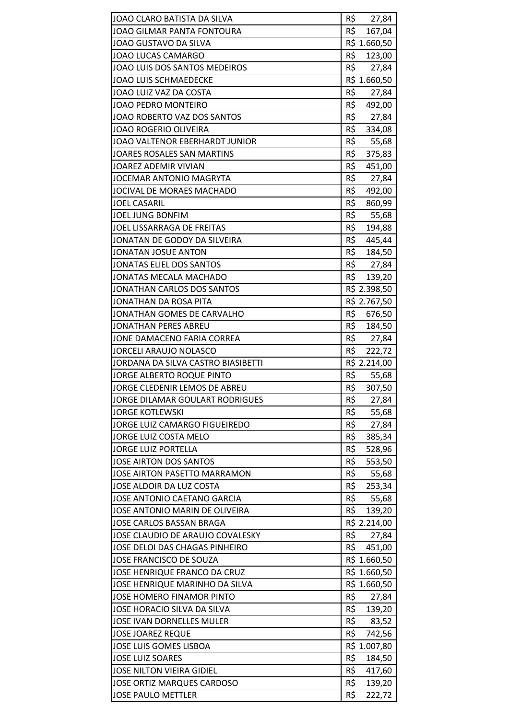| JOAO CLARO BATISTA DA SILVA          | R\$ 27,84     |
|--------------------------------------|---------------|
| JOAO GILMAR PANTA FONTOURA           | R\$<br>167,04 |
| JOAO GUSTAVO DA SILVA                | R\$ 1.660,50  |
| JOAO LUCAS CAMARGO                   | R\$<br>123,00 |
| JOAO LUIS DOS SANTOS MEDEIROS        | R\$<br>27,84  |
| <b>JOAO LUIS SCHMAEDECKE</b>         | R\$ 1.660,50  |
| JOAO LUIZ VAZ DA COSTA               | R\$<br>27,84  |
| JOAO PEDRO MONTEIRO                  | R\$<br>492,00 |
| JOAO ROBERTO VAZ DOS SANTOS          | R\$<br>27,84  |
| <b>JOAO ROGERIO OLIVEIRA</b>         | R\$<br>334,08 |
| JOAO VALTENOR EBERHARDT JUNIOR       | R\$ 55,68     |
| JOARES ROSALES SAN MARTINS           | R\$<br>375,83 |
| JOAREZ ADEMIR VIVIAN                 | R\$<br>451,00 |
| JOCEMAR ANTONIO MAGRYTA              | R\$<br>27,84  |
| JOCIVAL DE MORAES MACHADO            | R\$<br>492,00 |
| <b>JOEL CASARIL</b>                  | R\$<br>860,99 |
| <b>JOEL JUNG BONFIM</b>              | R\$<br>55,68  |
| JOEL LISSARRAGA DE FREITAS           | R\$<br>194,88 |
| JONATAN DE GODOY DA SILVEIRA         | R\$<br>445,44 |
| <b>JONATAN JOSUE ANTON</b>           | R\$<br>184,50 |
| <b>JONATAS ELIEL DOS SANTOS</b>      | R\$ 27,84     |
| JONATAS MECALA MACHADO               | R\$<br>139,20 |
| JONATHAN CARLOS DOS SANTOS           | R\$ 2.398,50  |
| JONATHAN DA ROSA PITA                | R\$ 2.767,50  |
| JONATHAN GOMES DE CARVALHO           | R\$<br>676,50 |
| <b>JONATHAN PERES ABREU</b>          | R\$<br>184,50 |
| JONE DAMACENO FARIA CORREA           | R\$<br>27,84  |
| <b>JORCELI ARAUJO NOLASCO</b>        | R\$<br>222,72 |
| JORDANA DA SILVA CASTRO BIASIBETTI   | R\$ 2.214,00  |
| JORGE ALBERTO ROQUE PINTO            | R\$<br>55,68  |
| <b>JORGE CLEDENIR LEMOS DE ABREU</b> | R\$<br>307,50 |
| JORGE DILAMAR GOULART RODRIGUES      | R\$<br>27,84  |
| <b>JORGE KOTLEWSKI</b>               | R\$<br>55,68  |
| JORGE LUIZ CAMARGO FIGUEIREDO        | R\$<br>27,84  |
| JORGE LUIZ COSTA MELO                | R\$<br>385,34 |
| <b>JORGE LUIZ PORTELLA</b>           | R\$<br>528,96 |
| <b>JOSE AIRTON DOS SANTOS</b>        | R\$<br>553,50 |
| <b>JOSE AIRTON PASETTO MARRAMON</b>  | R\$<br>55,68  |
| JOSE ALDOIR DA LUZ COSTA             | R\$<br>253,34 |
| JOSE ANTONIO CAETANO GARCIA          | R\$<br>55,68  |
| JOSE ANTONIO MARIN DE OLIVEIRA       | R\$<br>139,20 |
| JOSE CARLOS BASSAN BRAGA             | R\$ 2.214,00  |
| JOSE CLAUDIO DE ARAUJO COVALESKY     | R\$<br>27,84  |
| JOSE DELOI DAS CHAGAS PINHEIRO       | R\$<br>451,00 |
| JOSE FRANCISCO DE SOUZA              | R\$ 1.660,50  |
| JOSE HENRIQUE FRANCO DA CRUZ         | R\$ 1.660,50  |
| JOSE HENRIQUE MARINHO DA SILVA       | R\$ 1.660,50  |
| JOSE HOMERO FINAMOR PINTO            | R\$<br>27,84  |
| JOSE HORACIO SILVA DA SILVA          | R\$<br>139,20 |
| <b>JOSE IVAN DORNELLES MULER</b>     | R\$<br>83,52  |
| <b>JOSE JOAREZ REQUE</b>             | R\$<br>742,56 |
| JOSE LUIS GOMES LISBOA               | R\$ 1.007,80  |
| <b>JOSE LUIZ SOARES</b>              | R\$<br>184,50 |
| JOSE NILTON VIEIRA GIDIEL            | R\$<br>417,60 |
| <b>JOSE ORTIZ MARQUES CARDOSO</b>    | R\$<br>139,20 |
| <b>JOSE PAULO METTLER</b>            | R\$<br>222,72 |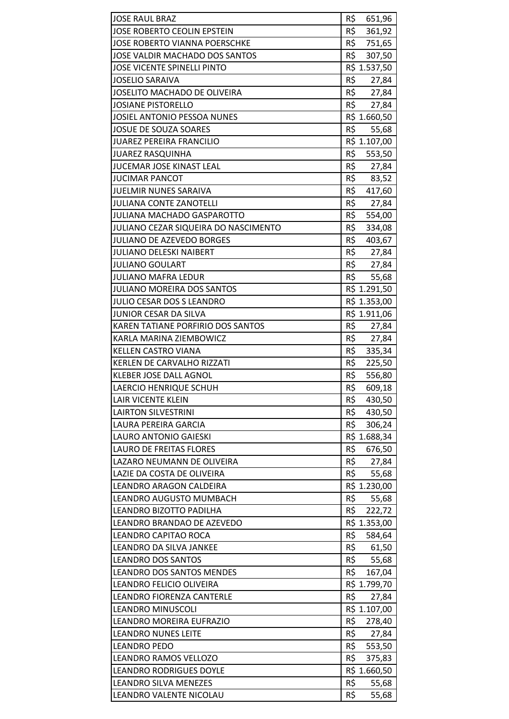| <b>JOSE RAUL BRAZ</b>                | R\$<br>651,96         |
|--------------------------------------|-----------------------|
| JOSE ROBERTO CEOLIN EPSTEIN          | R\$<br>361,92         |
| <b>JOSE ROBERTO VIANNA POERSCHKE</b> | R\$<br>751,65         |
| JOSE VALDIR MACHADO DOS SANTOS       | R\$<br>307,50         |
| <b>JOSE VICENTE SPINELLI PINTO</b>   | R\$ 1.537,50          |
| <b>JOSELIO SARAIVA</b>               | R\$<br>27,84          |
| JOSELITO MACHADO DE OLIVEIRA         | R\$<br>27,84          |
| <b>JOSIANE PISTORELLO</b>            | R\$<br>27,84          |
| JOSIEL ANTONIO PESSOA NUNES          | R\$ 1.660,50          |
| <b>JOSUE DE SOUZA SOARES</b>         | R\$<br>55,68          |
| <b>JUAREZ PEREIRA FRANCILIO</b>      | R\$ 1.107,00          |
| JUAREZ RASQUINHA                     | R\$<br>553,50         |
| <b>JUCEMAR JOSE KINAST LEAL</b>      | R\$<br>27,84          |
| <b>JUCIMAR PANCOT</b>                | R\$<br>83,52          |
| JUELMIR NUNES SARAIVA                | R\$<br>417,60         |
| <b>JULIANA CONTE ZANOTELLI</b>       | R\$<br>27,84          |
| <b>JULIANA MACHADO GASPAROTTO</b>    | R\$<br>554,00         |
| JULIANO CEZAR SIQUEIRA DO NASCIMENTO | R\$<br>334,08         |
| <b>JULIANO DE AZEVEDO BORGES</b>     | R\$<br>403,67         |
| <b>JULIANO DELESKI NAIBERT</b>       | R\$ 27,84             |
| <b>JULIANO GOULART</b>               | $R\overline{5}$ 27,84 |
| JULIANO MAFRA LEDUR                  | R\$<br>55,68          |
| <b>JULIANO MOREIRA DOS SANTOS</b>    | R\$ 1.291,50          |
| JULIO CESAR DOS S LEANDRO            | R\$ 1.353,00          |
| JUNIOR CESAR DA SILVA                | R\$ 1.911,06          |
| KAREN TATIANE PORFIRIO DOS SANTOS    | R\$<br>27,84          |
| KARLA MARINA ZIEMBOWICZ              | R\$<br>27,84          |
| KELLEN CASTRO VIANA                  | R\$<br>335,34         |
| KERLEN DE CARVALHO RIZZATI           | R\$<br>225,50         |
| KLEBER JOSE DALL AGNOL               | R\$<br>556,80         |
| LAERCIO HENRIQUE SCHUH               | R\$<br>609,18         |
| LAIR VICENTE KLEIN                   | R\$<br>430,50         |
| <b>LAIRTON SILVESTRINI</b>           | R\$<br>430,50         |
| LAURA PEREIRA GARCIA                 | R\$<br>306,24         |
| LAURO ANTONIO GAIESKI                | R\$ 1.688,34          |
| <b>LAURO DE FREITAS FLORES</b>       | R\$<br>676,50         |
| LAZARO NEUMANN DE OLIVEIRA           | R\$<br>27,84          |
| LAZIE DA COSTA DE OLIVEIRA           | R\$<br>55,68          |
| LEANDRO ARAGON CALDEIRA              | R\$ 1.230,00          |
| LEANDRO AUGUSTO MUMBACH              | R\$<br>55,68          |
| LEANDRO BIZOTTO PADILHA              | R\$<br>222,72         |
| LEANDRO BRANDAO DE AZEVEDO           | R\$ 1.353,00          |
| LEANDRO CAPITAO ROCA                 | R\$<br>584,64         |
| LEANDRO DA SILVA JANKEE              | R\$<br>61,50          |
| <b>LEANDRO DOS SANTOS</b>            | R\$<br>55,68          |
| <b>LEANDRO DOS SANTOS MENDES</b>     | R\$<br>167,04         |
| LEANDRO FELICIO OLIVEIRA             | R\$ 1.799,70          |
| LEANDRO FIORENZA CANTERLE            | R\$<br>27,84          |
| <b>LEANDRO MINUSCOLI</b>             | R\$ 1.107,00          |
| LEANDRO MOREIRA EUFRAZIO             | R\$<br>278,40         |
| <b>LEANDRO NUNES LEITE</b>           | R\$<br>27,84          |
| <b>LEANDRO PEDO</b>                  | R\$<br>553,50         |
| LEANDRO RAMOS VELLOZO                | R\$<br>375,83         |
| <b>LEANDRO RODRIGUES DOYLE</b>       | R\$ 1.660,50          |
| LEANDRO SILVA MENEZES                | R\$<br>55,68          |
| LEANDRO VALENTE NICOLAU              | R\$<br>55,68          |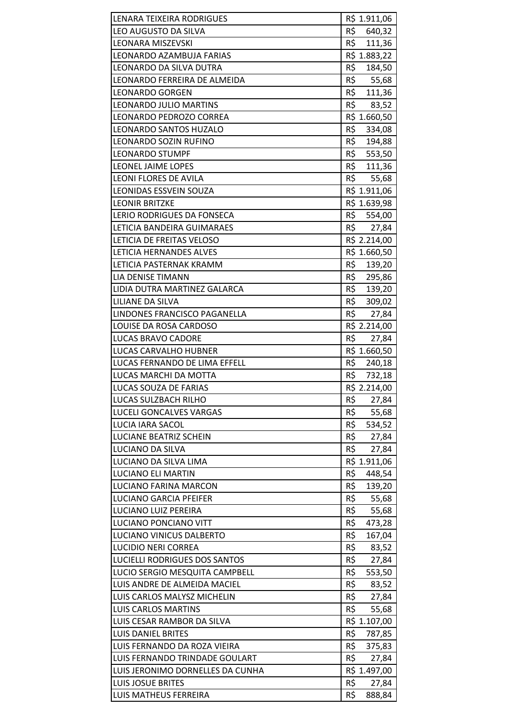| LENARA TEIXEIRA RODRIGUES        | R\$ 1.911,06  |
|----------------------------------|---------------|
| LEO AUGUSTO DA SILVA             | R\$<br>640,32 |
| LEONARA MISZEVSKI                | R\$<br>111,36 |
| LEONARDO AZAMBUJA FARIAS         | R\$ 1.883,22  |
| LEONARDO DA SILVA DUTRA          | R\$<br>184,50 |
| LEONARDO FERREIRA DE ALMEIDA     | R\$ 55,68     |
| <b>LEONARDO GORGEN</b>           | R\$<br>111,36 |
| <b>LEONARDO JULIO MARTINS</b>    | R\$<br>83,52  |
| LEONARDO PEDROZO CORREA          | R\$ 1.660,50  |
| LEONARDO SANTOS HUZALO           | R\$<br>334,08 |
| LEONARDO SOZIN RUFINO            | R\$ 194,88    |
| <b>LEONARDO STUMPF</b>           | R\$<br>553,50 |
| LEONEL JAIME LOPES               | R\$<br>111,36 |
| <b>LEONI FLORES DE AVILA</b>     | R\$<br>55,68  |
| LEONIDAS ESSVEIN SOUZA           | R\$ 1.911,06  |
| <b>LEONIR BRITZKE</b>            | R\$ 1.639,98  |
| LERIO RODRIGUES DA FONSECA       | R\$<br>554,00 |
| LETICIA BANDEIRA GUIMARAES       | R\$<br>27,84  |
| LETICIA DE FREITAS VELOSO        | R\$ 2.214,00  |
| LETICIA HERNANDES ALVES          | R\$ 1.660,50  |
| LETICIA PASTERNAK KRAMM          | R\$ 139,20    |
| LIA DENISE TIMANN                | R\$<br>295,86 |
| LIDIA DUTRA MARTINEZ GALARCA     | R\$<br>139,20 |
| <b>LILIANE DA SILVA</b>          | R\$<br>309,02 |
| LINDONES FRANCISCO PAGANELLA     | R\$ 27,84     |
| LOUISE DA ROSA CARDOSO           | R\$ 2.214,00  |
| <b>LUCAS BRAVO CADORE</b>        | R\$<br>27,84  |
| LUCAS CARVALHO HUBNER            | R\$ 1.660,50  |
| LUCAS FERNANDO DE LIMA EFFELL    | R\$<br>240,18 |
| <b>LUCAS MARCHI DA MOTTA</b>     | R\$<br>732,18 |
| LUCAS SOUZA DE FARIAS            | R\$ 2.214,00  |
| LUCAS SULZBACH RILHO             | R\$<br>27,84  |
| <b>LUCELI GONCALVES VARGAS</b>   | R\$<br>55,68  |
| <b>LUCIA IARA SACOL</b>          | R\$<br>534,52 |
|                                  |               |
| LUCIANE BEATRIZ SCHEIN           | R\$<br>27,84  |
| <b>LUCIANO DA SILVA</b>          | R\$<br>27,84  |
| LUCIANO DA SILVA LIMA            | R\$ 1.911,06  |
| <b>LUCIANO ELI MARTIN</b>        | R\$<br>448,54 |
| LUCIANO FARINA MARCON            | R\$<br>139,20 |
| <b>LUCIANO GARCIA PFEIFER</b>    | R\$<br>55,68  |
| LUCIANO LUIZ PEREIRA             | R\$<br>55,68  |
| LUCIANO PONCIANO VITT            | R\$<br>473,28 |
| LUCIANO VINICUS DALBERTO         | R\$<br>167,04 |
| <b>LUCIDIO NERI CORREA</b>       | R\$<br>83,52  |
| LUCIELLI RODRIGUES DOS SANTOS    | R\$<br>27,84  |
| LUCIO SERGIO MESQUITA CAMPBELL   | R\$<br>553,50 |
| LUIS ANDRE DE ALMEIDA MACIEL     | R\$<br>83,52  |
| LUIS CARLOS MALYSZ MICHELIN      | R\$<br>27,84  |
| <b>LUIS CARLOS MARTINS</b>       | R\$<br>55,68  |
| LUIS CESAR RAMBOR DA SILVA       | R\$ 1.107,00  |
| <b>LUIS DANIEL BRITES</b>        | R\$<br>787,85 |
| LUIS FERNANDO DA ROZA VIEIRA     | R\$<br>375,83 |
| LUIS FERNANDO TRINDADE GOULART   | R\$<br>27,84  |
| LUIS JERONIMO DORNELLES DA CUNHA | R\$ 1.497,00  |
| <b>LUIS JOSUE BRITES</b>         | R\$<br>27,84  |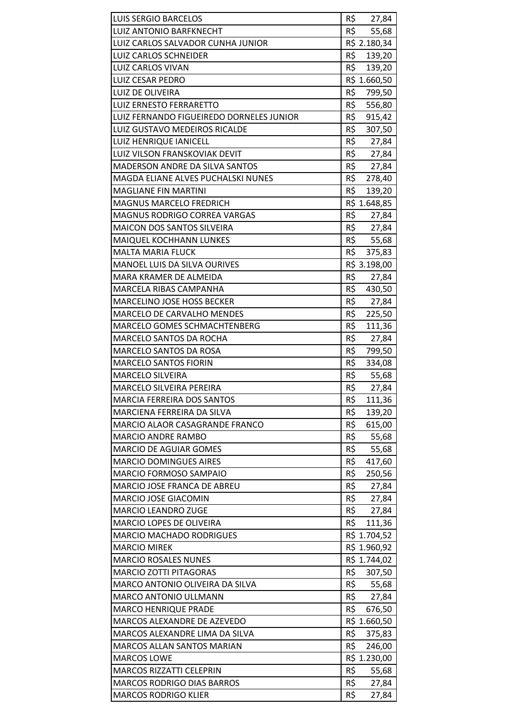| R\$<br>LUIZ ANTONIO BARFKNECHT<br>55,68<br>LUIZ CARLOS SALVADOR CUNHA JUNIOR<br>R\$ 2.180,34<br>R\$<br><b>LUIZ CARLOS SCHNEIDER</b><br>139,20<br>R\$<br><b>LUIZ CARLOS VIVAN</b><br>139,20<br><b>LUIZ CESAR PEDRO</b><br>R\$ 1.660,50<br>R\$<br>LUIZ DE OLIVEIRA<br>799,50<br>R\$<br><b>LUIZ ERNESTO FERRARETTO</b><br>556,80<br>R\$<br>LUIZ FERNANDO FIGUEIREDO DORNELES JUNIOR<br>915,42<br>R\$<br>LUIZ GUSTAVO MEDEIROS RICALDE<br>307,50<br>R\$<br>LUIZ HENRIQUE IANICELL<br>27,84<br>R\$<br>LUIZ VILSON FRANSKOVIAK DEVIT<br>27,84<br>R\$<br><b>MADERSON ANDRE DA SILVA SANTOS</b><br>27,84<br>R\$<br>MAGDA ELIANE ALVES PUCHALSKI NUNES<br>278,40<br>R\$<br><b>MAGLIANE FIN MARTINI</b><br>139,20<br><b>MAGNUS MARCELO FREDRICH</b><br>R\$ 1.648,85<br>R\$<br><b>MAGNUS RODRIGO CORREA VARGAS</b><br>27,84<br>R\$<br>MAICON DOS SANTOS SILVEIRA<br>27,84<br>R\$<br><b>MAIQUEL KOCHHANN LUNKES</b><br>55,68<br>R\$<br><b>MALTA MARIA FLUCK</b><br>375,83<br>R\$ 3.198,00<br>MANOEL LUIS DA SILVA OURIVES<br>R\$<br>MARA KRAMER DE ALMEIDA<br>27,84<br>R\$<br>MARCELA RIBAS CAMPANHA<br>430,50<br>R\$<br>MARCELINO JOSE HOSS BECKER<br>27,84<br>R\$<br><b>MARCELO DE CARVALHO MENDES</b><br>225,50<br>R\$<br>MARCELO GOMES SCHMACHTENBERG<br>111,36<br>R\$<br><b>MARCELO SANTOS DA ROCHA</b><br>27,84<br>R\$<br>MARCELO SANTOS DA ROSA<br>799,50<br>R\$<br><b>MARCELO SANTOS FIORIN</b><br>334,08<br>R\$<br><b>MARCELO SILVEIRA</b><br>55,68<br>R\$<br><b>MARCELO SILVEIRA PEREIRA</b><br>27,84<br>MARCIA FERREIRA DOS SANTOS<br>R\$<br>111,36<br>R\$<br>MARCIENA FERREIRA DA SILVA<br>139,20<br>R\$<br>MARCIO ALAOR CASAGRANDE FRANCO<br>615,00<br>R\$<br><b>MARCIO ANDRE RAMBO</b><br>55,68<br>R\$<br><b>MARCIO DE AGUIAR GOMES</b><br>55,68<br>R\$<br><b>MARCIO DOMINGUES AIRES</b><br>417,60<br>MARCIO FORMOSO SAMPAIO<br>R\$<br>250,56<br>R\$<br>MARCIO JOSE FRANCA DE ABREU<br>27,84<br>R\$<br>MARCIO JOSE GIACOMIN<br>27,84<br>R\$<br><b>MARCIO LEANDRO ZUGE</b><br>27,84<br>R\$<br>MARCIO LOPES DE OLIVEIRA<br>111,36<br><b>MARCIO MACHADO RODRIGUES</b><br>R\$ 1.704,52<br>R\$ 1.960,92<br><b>MARCIO MIREK</b><br><b>MARCIO ROSALES NUNES</b><br>R\$ 1.744,02<br>R\$<br><b>MARCIO ZOTTI PITAGORAS</b><br>307,50<br>R\$ 55,68<br>MARCO ANTONIO OLIVEIRA DA SILVA<br>R\$ 27,84<br><b>MARCO ANTONIO ULLMANN</b><br>R\$<br>676,50<br><b>MARCO HENRIQUE PRADE</b><br>MARCOS ALEXANDRE DE AZEVEDO<br>R\$ 1.660,50<br>R\$<br>MARCOS ALEXANDRE LIMA DA SILVA<br>375,83<br>R\$<br>MARCOS ALLAN SANTOS MARIAN<br>246,00<br><b>MARCOS LOWE</b><br>R\$ 1.230,00<br>R\$<br><b>MARCOS RIZZATTI CELEPRIN</b><br>55,68<br>R\$<br><b>MARCOS RODRIGO DIAS BARROS</b><br>27,84<br>R\$<br><b>MARCOS RODRIGO KLIER</b><br>27,84 | <b>LUIS SERGIO BARCELOS</b> |              |
|-------------------------------------------------------------------------------------------------------------------------------------------------------------------------------------------------------------------------------------------------------------------------------------------------------------------------------------------------------------------------------------------------------------------------------------------------------------------------------------------------------------------------------------------------------------------------------------------------------------------------------------------------------------------------------------------------------------------------------------------------------------------------------------------------------------------------------------------------------------------------------------------------------------------------------------------------------------------------------------------------------------------------------------------------------------------------------------------------------------------------------------------------------------------------------------------------------------------------------------------------------------------------------------------------------------------------------------------------------------------------------------------------------------------------------------------------------------------------------------------------------------------------------------------------------------------------------------------------------------------------------------------------------------------------------------------------------------------------------------------------------------------------------------------------------------------------------------------------------------------------------------------------------------------------------------------------------------------------------------------------------------------------------------------------------------------------------------------------------------------------------------------------------------------------------------------------------------------------------------------------------------------------------------------------------------------------------------------------------------------------------------------------------------------------------------------------------------------------------------------------------------------------------------------------------------------------------------------------------------------------------------------------------------------------------------------------------------------------|-----------------------------|--------------|
|                                                                                                                                                                                                                                                                                                                                                                                                                                                                                                                                                                                                                                                                                                                                                                                                                                                                                                                                                                                                                                                                                                                                                                                                                                                                                                                                                                                                                                                                                                                                                                                                                                                                                                                                                                                                                                                                                                                                                                                                                                                                                                                                                                                                                                                                                                                                                                                                                                                                                                                                                                                                                                                                                                                         |                             | R\$<br>27,84 |
|                                                                                                                                                                                                                                                                                                                                                                                                                                                                                                                                                                                                                                                                                                                                                                                                                                                                                                                                                                                                                                                                                                                                                                                                                                                                                                                                                                                                                                                                                                                                                                                                                                                                                                                                                                                                                                                                                                                                                                                                                                                                                                                                                                                                                                                                                                                                                                                                                                                                                                                                                                                                                                                                                                                         |                             |              |
|                                                                                                                                                                                                                                                                                                                                                                                                                                                                                                                                                                                                                                                                                                                                                                                                                                                                                                                                                                                                                                                                                                                                                                                                                                                                                                                                                                                                                                                                                                                                                                                                                                                                                                                                                                                                                                                                                                                                                                                                                                                                                                                                                                                                                                                                                                                                                                                                                                                                                                                                                                                                                                                                                                                         |                             |              |
|                                                                                                                                                                                                                                                                                                                                                                                                                                                                                                                                                                                                                                                                                                                                                                                                                                                                                                                                                                                                                                                                                                                                                                                                                                                                                                                                                                                                                                                                                                                                                                                                                                                                                                                                                                                                                                                                                                                                                                                                                                                                                                                                                                                                                                                                                                                                                                                                                                                                                                                                                                                                                                                                                                                         |                             |              |
|                                                                                                                                                                                                                                                                                                                                                                                                                                                                                                                                                                                                                                                                                                                                                                                                                                                                                                                                                                                                                                                                                                                                                                                                                                                                                                                                                                                                                                                                                                                                                                                                                                                                                                                                                                                                                                                                                                                                                                                                                                                                                                                                                                                                                                                                                                                                                                                                                                                                                                                                                                                                                                                                                                                         |                             |              |
|                                                                                                                                                                                                                                                                                                                                                                                                                                                                                                                                                                                                                                                                                                                                                                                                                                                                                                                                                                                                                                                                                                                                                                                                                                                                                                                                                                                                                                                                                                                                                                                                                                                                                                                                                                                                                                                                                                                                                                                                                                                                                                                                                                                                                                                                                                                                                                                                                                                                                                                                                                                                                                                                                                                         |                             |              |
|                                                                                                                                                                                                                                                                                                                                                                                                                                                                                                                                                                                                                                                                                                                                                                                                                                                                                                                                                                                                                                                                                                                                                                                                                                                                                                                                                                                                                                                                                                                                                                                                                                                                                                                                                                                                                                                                                                                                                                                                                                                                                                                                                                                                                                                                                                                                                                                                                                                                                                                                                                                                                                                                                                                         |                             |              |
|                                                                                                                                                                                                                                                                                                                                                                                                                                                                                                                                                                                                                                                                                                                                                                                                                                                                                                                                                                                                                                                                                                                                                                                                                                                                                                                                                                                                                                                                                                                                                                                                                                                                                                                                                                                                                                                                                                                                                                                                                                                                                                                                                                                                                                                                                                                                                                                                                                                                                                                                                                                                                                                                                                                         |                             |              |
|                                                                                                                                                                                                                                                                                                                                                                                                                                                                                                                                                                                                                                                                                                                                                                                                                                                                                                                                                                                                                                                                                                                                                                                                                                                                                                                                                                                                                                                                                                                                                                                                                                                                                                                                                                                                                                                                                                                                                                                                                                                                                                                                                                                                                                                                                                                                                                                                                                                                                                                                                                                                                                                                                                                         |                             |              |
|                                                                                                                                                                                                                                                                                                                                                                                                                                                                                                                                                                                                                                                                                                                                                                                                                                                                                                                                                                                                                                                                                                                                                                                                                                                                                                                                                                                                                                                                                                                                                                                                                                                                                                                                                                                                                                                                                                                                                                                                                                                                                                                                                                                                                                                                                                                                                                                                                                                                                                                                                                                                                                                                                                                         |                             |              |
|                                                                                                                                                                                                                                                                                                                                                                                                                                                                                                                                                                                                                                                                                                                                                                                                                                                                                                                                                                                                                                                                                                                                                                                                                                                                                                                                                                                                                                                                                                                                                                                                                                                                                                                                                                                                                                                                                                                                                                                                                                                                                                                                                                                                                                                                                                                                                                                                                                                                                                                                                                                                                                                                                                                         |                             |              |
|                                                                                                                                                                                                                                                                                                                                                                                                                                                                                                                                                                                                                                                                                                                                                                                                                                                                                                                                                                                                                                                                                                                                                                                                                                                                                                                                                                                                                                                                                                                                                                                                                                                                                                                                                                                                                                                                                                                                                                                                                                                                                                                                                                                                                                                                                                                                                                                                                                                                                                                                                                                                                                                                                                                         |                             |              |
|                                                                                                                                                                                                                                                                                                                                                                                                                                                                                                                                                                                                                                                                                                                                                                                                                                                                                                                                                                                                                                                                                                                                                                                                                                                                                                                                                                                                                                                                                                                                                                                                                                                                                                                                                                                                                                                                                                                                                                                                                                                                                                                                                                                                                                                                                                                                                                                                                                                                                                                                                                                                                                                                                                                         |                             |              |
|                                                                                                                                                                                                                                                                                                                                                                                                                                                                                                                                                                                                                                                                                                                                                                                                                                                                                                                                                                                                                                                                                                                                                                                                                                                                                                                                                                                                                                                                                                                                                                                                                                                                                                                                                                                                                                                                                                                                                                                                                                                                                                                                                                                                                                                                                                                                                                                                                                                                                                                                                                                                                                                                                                                         |                             |              |
|                                                                                                                                                                                                                                                                                                                                                                                                                                                                                                                                                                                                                                                                                                                                                                                                                                                                                                                                                                                                                                                                                                                                                                                                                                                                                                                                                                                                                                                                                                                                                                                                                                                                                                                                                                                                                                                                                                                                                                                                                                                                                                                                                                                                                                                                                                                                                                                                                                                                                                                                                                                                                                                                                                                         |                             |              |
|                                                                                                                                                                                                                                                                                                                                                                                                                                                                                                                                                                                                                                                                                                                                                                                                                                                                                                                                                                                                                                                                                                                                                                                                                                                                                                                                                                                                                                                                                                                                                                                                                                                                                                                                                                                                                                                                                                                                                                                                                                                                                                                                                                                                                                                                                                                                                                                                                                                                                                                                                                                                                                                                                                                         |                             |              |
|                                                                                                                                                                                                                                                                                                                                                                                                                                                                                                                                                                                                                                                                                                                                                                                                                                                                                                                                                                                                                                                                                                                                                                                                                                                                                                                                                                                                                                                                                                                                                                                                                                                                                                                                                                                                                                                                                                                                                                                                                                                                                                                                                                                                                                                                                                                                                                                                                                                                                                                                                                                                                                                                                                                         |                             |              |
|                                                                                                                                                                                                                                                                                                                                                                                                                                                                                                                                                                                                                                                                                                                                                                                                                                                                                                                                                                                                                                                                                                                                                                                                                                                                                                                                                                                                                                                                                                                                                                                                                                                                                                                                                                                                                                                                                                                                                                                                                                                                                                                                                                                                                                                                                                                                                                                                                                                                                                                                                                                                                                                                                                                         |                             |              |
|                                                                                                                                                                                                                                                                                                                                                                                                                                                                                                                                                                                                                                                                                                                                                                                                                                                                                                                                                                                                                                                                                                                                                                                                                                                                                                                                                                                                                                                                                                                                                                                                                                                                                                                                                                                                                                                                                                                                                                                                                                                                                                                                                                                                                                                                                                                                                                                                                                                                                                                                                                                                                                                                                                                         |                             |              |
|                                                                                                                                                                                                                                                                                                                                                                                                                                                                                                                                                                                                                                                                                                                                                                                                                                                                                                                                                                                                                                                                                                                                                                                                                                                                                                                                                                                                                                                                                                                                                                                                                                                                                                                                                                                                                                                                                                                                                                                                                                                                                                                                                                                                                                                                                                                                                                                                                                                                                                                                                                                                                                                                                                                         |                             |              |
|                                                                                                                                                                                                                                                                                                                                                                                                                                                                                                                                                                                                                                                                                                                                                                                                                                                                                                                                                                                                                                                                                                                                                                                                                                                                                                                                                                                                                                                                                                                                                                                                                                                                                                                                                                                                                                                                                                                                                                                                                                                                                                                                                                                                                                                                                                                                                                                                                                                                                                                                                                                                                                                                                                                         |                             |              |
|                                                                                                                                                                                                                                                                                                                                                                                                                                                                                                                                                                                                                                                                                                                                                                                                                                                                                                                                                                                                                                                                                                                                                                                                                                                                                                                                                                                                                                                                                                                                                                                                                                                                                                                                                                                                                                                                                                                                                                                                                                                                                                                                                                                                                                                                                                                                                                                                                                                                                                                                                                                                                                                                                                                         |                             |              |
|                                                                                                                                                                                                                                                                                                                                                                                                                                                                                                                                                                                                                                                                                                                                                                                                                                                                                                                                                                                                                                                                                                                                                                                                                                                                                                                                                                                                                                                                                                                                                                                                                                                                                                                                                                                                                                                                                                                                                                                                                                                                                                                                                                                                                                                                                                                                                                                                                                                                                                                                                                                                                                                                                                                         |                             |              |
|                                                                                                                                                                                                                                                                                                                                                                                                                                                                                                                                                                                                                                                                                                                                                                                                                                                                                                                                                                                                                                                                                                                                                                                                                                                                                                                                                                                                                                                                                                                                                                                                                                                                                                                                                                                                                                                                                                                                                                                                                                                                                                                                                                                                                                                                                                                                                                                                                                                                                                                                                                                                                                                                                                                         |                             |              |
|                                                                                                                                                                                                                                                                                                                                                                                                                                                                                                                                                                                                                                                                                                                                                                                                                                                                                                                                                                                                                                                                                                                                                                                                                                                                                                                                                                                                                                                                                                                                                                                                                                                                                                                                                                                                                                                                                                                                                                                                                                                                                                                                                                                                                                                                                                                                                                                                                                                                                                                                                                                                                                                                                                                         |                             |              |
|                                                                                                                                                                                                                                                                                                                                                                                                                                                                                                                                                                                                                                                                                                                                                                                                                                                                                                                                                                                                                                                                                                                                                                                                                                                                                                                                                                                                                                                                                                                                                                                                                                                                                                                                                                                                                                                                                                                                                                                                                                                                                                                                                                                                                                                                                                                                                                                                                                                                                                                                                                                                                                                                                                                         |                             |              |
|                                                                                                                                                                                                                                                                                                                                                                                                                                                                                                                                                                                                                                                                                                                                                                                                                                                                                                                                                                                                                                                                                                                                                                                                                                                                                                                                                                                                                                                                                                                                                                                                                                                                                                                                                                                                                                                                                                                                                                                                                                                                                                                                                                                                                                                                                                                                                                                                                                                                                                                                                                                                                                                                                                                         |                             |              |
|                                                                                                                                                                                                                                                                                                                                                                                                                                                                                                                                                                                                                                                                                                                                                                                                                                                                                                                                                                                                                                                                                                                                                                                                                                                                                                                                                                                                                                                                                                                                                                                                                                                                                                                                                                                                                                                                                                                                                                                                                                                                                                                                                                                                                                                                                                                                                                                                                                                                                                                                                                                                                                                                                                                         |                             |              |
|                                                                                                                                                                                                                                                                                                                                                                                                                                                                                                                                                                                                                                                                                                                                                                                                                                                                                                                                                                                                                                                                                                                                                                                                                                                                                                                                                                                                                                                                                                                                                                                                                                                                                                                                                                                                                                                                                                                                                                                                                                                                                                                                                                                                                                                                                                                                                                                                                                                                                                                                                                                                                                                                                                                         |                             |              |
|                                                                                                                                                                                                                                                                                                                                                                                                                                                                                                                                                                                                                                                                                                                                                                                                                                                                                                                                                                                                                                                                                                                                                                                                                                                                                                                                                                                                                                                                                                                                                                                                                                                                                                                                                                                                                                                                                                                                                                                                                                                                                                                                                                                                                                                                                                                                                                                                                                                                                                                                                                                                                                                                                                                         |                             |              |
|                                                                                                                                                                                                                                                                                                                                                                                                                                                                                                                                                                                                                                                                                                                                                                                                                                                                                                                                                                                                                                                                                                                                                                                                                                                                                                                                                                                                                                                                                                                                                                                                                                                                                                                                                                                                                                                                                                                                                                                                                                                                                                                                                                                                                                                                                                                                                                                                                                                                                                                                                                                                                                                                                                                         |                             |              |
|                                                                                                                                                                                                                                                                                                                                                                                                                                                                                                                                                                                                                                                                                                                                                                                                                                                                                                                                                                                                                                                                                                                                                                                                                                                                                                                                                                                                                                                                                                                                                                                                                                                                                                                                                                                                                                                                                                                                                                                                                                                                                                                                                                                                                                                                                                                                                                                                                                                                                                                                                                                                                                                                                                                         |                             |              |
|                                                                                                                                                                                                                                                                                                                                                                                                                                                                                                                                                                                                                                                                                                                                                                                                                                                                                                                                                                                                                                                                                                                                                                                                                                                                                                                                                                                                                                                                                                                                                                                                                                                                                                                                                                                                                                                                                                                                                                                                                                                                                                                                                                                                                                                                                                                                                                                                                                                                                                                                                                                                                                                                                                                         |                             |              |
|                                                                                                                                                                                                                                                                                                                                                                                                                                                                                                                                                                                                                                                                                                                                                                                                                                                                                                                                                                                                                                                                                                                                                                                                                                                                                                                                                                                                                                                                                                                                                                                                                                                                                                                                                                                                                                                                                                                                                                                                                                                                                                                                                                                                                                                                                                                                                                                                                                                                                                                                                                                                                                                                                                                         |                             |              |
|                                                                                                                                                                                                                                                                                                                                                                                                                                                                                                                                                                                                                                                                                                                                                                                                                                                                                                                                                                                                                                                                                                                                                                                                                                                                                                                                                                                                                                                                                                                                                                                                                                                                                                                                                                                                                                                                                                                                                                                                                                                                                                                                                                                                                                                                                                                                                                                                                                                                                                                                                                                                                                                                                                                         |                             |              |
|                                                                                                                                                                                                                                                                                                                                                                                                                                                                                                                                                                                                                                                                                                                                                                                                                                                                                                                                                                                                                                                                                                                                                                                                                                                                                                                                                                                                                                                                                                                                                                                                                                                                                                                                                                                                                                                                                                                                                                                                                                                                                                                                                                                                                                                                                                                                                                                                                                                                                                                                                                                                                                                                                                                         |                             |              |
|                                                                                                                                                                                                                                                                                                                                                                                                                                                                                                                                                                                                                                                                                                                                                                                                                                                                                                                                                                                                                                                                                                                                                                                                                                                                                                                                                                                                                                                                                                                                                                                                                                                                                                                                                                                                                                                                                                                                                                                                                                                                                                                                                                                                                                                                                                                                                                                                                                                                                                                                                                                                                                                                                                                         |                             |              |
|                                                                                                                                                                                                                                                                                                                                                                                                                                                                                                                                                                                                                                                                                                                                                                                                                                                                                                                                                                                                                                                                                                                                                                                                                                                                                                                                                                                                                                                                                                                                                                                                                                                                                                                                                                                                                                                                                                                                                                                                                                                                                                                                                                                                                                                                                                                                                                                                                                                                                                                                                                                                                                                                                                                         |                             |              |
|                                                                                                                                                                                                                                                                                                                                                                                                                                                                                                                                                                                                                                                                                                                                                                                                                                                                                                                                                                                                                                                                                                                                                                                                                                                                                                                                                                                                                                                                                                                                                                                                                                                                                                                                                                                                                                                                                                                                                                                                                                                                                                                                                                                                                                                                                                                                                                                                                                                                                                                                                                                                                                                                                                                         |                             |              |
|                                                                                                                                                                                                                                                                                                                                                                                                                                                                                                                                                                                                                                                                                                                                                                                                                                                                                                                                                                                                                                                                                                                                                                                                                                                                                                                                                                                                                                                                                                                                                                                                                                                                                                                                                                                                                                                                                                                                                                                                                                                                                                                                                                                                                                                                                                                                                                                                                                                                                                                                                                                                                                                                                                                         |                             |              |
|                                                                                                                                                                                                                                                                                                                                                                                                                                                                                                                                                                                                                                                                                                                                                                                                                                                                                                                                                                                                                                                                                                                                                                                                                                                                                                                                                                                                                                                                                                                                                                                                                                                                                                                                                                                                                                                                                                                                                                                                                                                                                                                                                                                                                                                                                                                                                                                                                                                                                                                                                                                                                                                                                                                         |                             |              |
|                                                                                                                                                                                                                                                                                                                                                                                                                                                                                                                                                                                                                                                                                                                                                                                                                                                                                                                                                                                                                                                                                                                                                                                                                                                                                                                                                                                                                                                                                                                                                                                                                                                                                                                                                                                                                                                                                                                                                                                                                                                                                                                                                                                                                                                                                                                                                                                                                                                                                                                                                                                                                                                                                                                         |                             |              |
|                                                                                                                                                                                                                                                                                                                                                                                                                                                                                                                                                                                                                                                                                                                                                                                                                                                                                                                                                                                                                                                                                                                                                                                                                                                                                                                                                                                                                                                                                                                                                                                                                                                                                                                                                                                                                                                                                                                                                                                                                                                                                                                                                                                                                                                                                                                                                                                                                                                                                                                                                                                                                                                                                                                         |                             |              |
|                                                                                                                                                                                                                                                                                                                                                                                                                                                                                                                                                                                                                                                                                                                                                                                                                                                                                                                                                                                                                                                                                                                                                                                                                                                                                                                                                                                                                                                                                                                                                                                                                                                                                                                                                                                                                                                                                                                                                                                                                                                                                                                                                                                                                                                                                                                                                                                                                                                                                                                                                                                                                                                                                                                         |                             |              |
|                                                                                                                                                                                                                                                                                                                                                                                                                                                                                                                                                                                                                                                                                                                                                                                                                                                                                                                                                                                                                                                                                                                                                                                                                                                                                                                                                                                                                                                                                                                                                                                                                                                                                                                                                                                                                                                                                                                                                                                                                                                                                                                                                                                                                                                                                                                                                                                                                                                                                                                                                                                                                                                                                                                         |                             |              |
|                                                                                                                                                                                                                                                                                                                                                                                                                                                                                                                                                                                                                                                                                                                                                                                                                                                                                                                                                                                                                                                                                                                                                                                                                                                                                                                                                                                                                                                                                                                                                                                                                                                                                                                                                                                                                                                                                                                                                                                                                                                                                                                                                                                                                                                                                                                                                                                                                                                                                                                                                                                                                                                                                                                         |                             |              |
|                                                                                                                                                                                                                                                                                                                                                                                                                                                                                                                                                                                                                                                                                                                                                                                                                                                                                                                                                                                                                                                                                                                                                                                                                                                                                                                                                                                                                                                                                                                                                                                                                                                                                                                                                                                                                                                                                                                                                                                                                                                                                                                                                                                                                                                                                                                                                                                                                                                                                                                                                                                                                                                                                                                         |                             |              |
|                                                                                                                                                                                                                                                                                                                                                                                                                                                                                                                                                                                                                                                                                                                                                                                                                                                                                                                                                                                                                                                                                                                                                                                                                                                                                                                                                                                                                                                                                                                                                                                                                                                                                                                                                                                                                                                                                                                                                                                                                                                                                                                                                                                                                                                                                                                                                                                                                                                                                                                                                                                                                                                                                                                         |                             |              |
|                                                                                                                                                                                                                                                                                                                                                                                                                                                                                                                                                                                                                                                                                                                                                                                                                                                                                                                                                                                                                                                                                                                                                                                                                                                                                                                                                                                                                                                                                                                                                                                                                                                                                                                                                                                                                                                                                                                                                                                                                                                                                                                                                                                                                                                                                                                                                                                                                                                                                                                                                                                                                                                                                                                         |                             |              |
|                                                                                                                                                                                                                                                                                                                                                                                                                                                                                                                                                                                                                                                                                                                                                                                                                                                                                                                                                                                                                                                                                                                                                                                                                                                                                                                                                                                                                                                                                                                                                                                                                                                                                                                                                                                                                                                                                                                                                                                                                                                                                                                                                                                                                                                                                                                                                                                                                                                                                                                                                                                                                                                                                                                         |                             |              |
|                                                                                                                                                                                                                                                                                                                                                                                                                                                                                                                                                                                                                                                                                                                                                                                                                                                                                                                                                                                                                                                                                                                                                                                                                                                                                                                                                                                                                                                                                                                                                                                                                                                                                                                                                                                                                                                                                                                                                                                                                                                                                                                                                                                                                                                                                                                                                                                                                                                                                                                                                                                                                                                                                                                         |                             |              |
|                                                                                                                                                                                                                                                                                                                                                                                                                                                                                                                                                                                                                                                                                                                                                                                                                                                                                                                                                                                                                                                                                                                                                                                                                                                                                                                                                                                                                                                                                                                                                                                                                                                                                                                                                                                                                                                                                                                                                                                                                                                                                                                                                                                                                                                                                                                                                                                                                                                                                                                                                                                                                                                                                                                         |                             |              |
|                                                                                                                                                                                                                                                                                                                                                                                                                                                                                                                                                                                                                                                                                                                                                                                                                                                                                                                                                                                                                                                                                                                                                                                                                                                                                                                                                                                                                                                                                                                                                                                                                                                                                                                                                                                                                                                                                                                                                                                                                                                                                                                                                                                                                                                                                                                                                                                                                                                                                                                                                                                                                                                                                                                         |                             |              |
|                                                                                                                                                                                                                                                                                                                                                                                                                                                                                                                                                                                                                                                                                                                                                                                                                                                                                                                                                                                                                                                                                                                                                                                                                                                                                                                                                                                                                                                                                                                                                                                                                                                                                                                                                                                                                                                                                                                                                                                                                                                                                                                                                                                                                                                                                                                                                                                                                                                                                                                                                                                                                                                                                                                         |                             |              |
|                                                                                                                                                                                                                                                                                                                                                                                                                                                                                                                                                                                                                                                                                                                                                                                                                                                                                                                                                                                                                                                                                                                                                                                                                                                                                                                                                                                                                                                                                                                                                                                                                                                                                                                                                                                                                                                                                                                                                                                                                                                                                                                                                                                                                                                                                                                                                                                                                                                                                                                                                                                                                                                                                                                         |                             |              |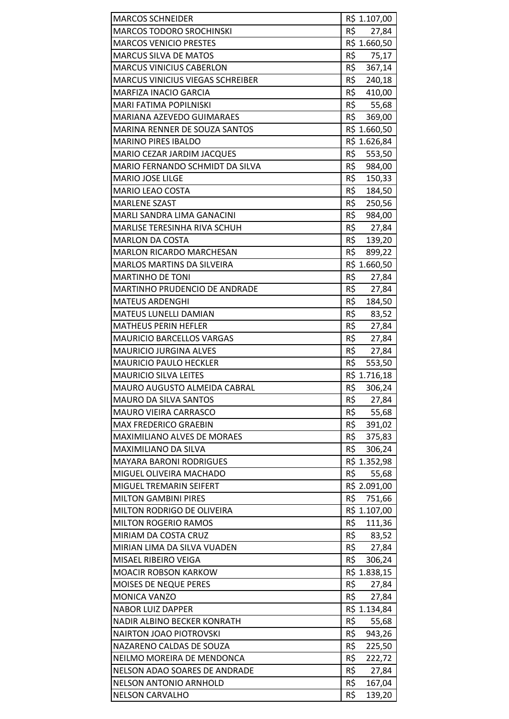| <b>MARCOS SCHNEIDER</b>                                 | R\$ 1.107,00                   |
|---------------------------------------------------------|--------------------------------|
| <b>MARCOS TODORO SROCHINSKI</b>                         | R\$<br>27,84                   |
| <b>MARCOS VENICIO PRESTES</b>                           | R\$ 1.660,50                   |
| <b>MARCUS SILVA DE MATOS</b>                            | R\$<br>75,17                   |
| <b>MARCUS VINICIUS CABERLON</b>                         | R\$<br>367,14                  |
| <b>MARCUS VINICIUS VIEGAS SCHREIBER</b>                 | R\$<br>240,18                  |
| <b>MARFIZA INACIO GARCIA</b>                            | R\$<br>410,00                  |
| MARI FATIMA POPILNISKI                                  | R\$<br>55,68                   |
| MARIANA AZEVEDO GUIMARAES                               | R\$<br>369,00                  |
| <b>MARINA RENNER DE SOUZA SANTOS</b>                    | R\$ 1.660,50                   |
| <b>MARINO PIRES IBALDO</b>                              | R\$ 1.626,84                   |
| MARIO CEZAR JARDIM JACQUES                              | R\$<br>553,50                  |
| MARIO FERNANDO SCHMIDT DA SILVA                         | R\$<br>984,00                  |
| <b>MARIO JOSE LILGE</b>                                 | R\$<br>150,33                  |
| <b>MARIO LEAO COSTA</b>                                 | R\$<br>184,50                  |
| <b>MARLENE SZAST</b>                                    | R\$<br>250,56                  |
| <b>MARLI SANDRA LIMA GANACINI</b>                       | R\$<br>984,00                  |
| MARLISE TERESINHA RIVA SCHUH                            | R\$<br>27,84                   |
| <b>MARLON DA COSTA</b>                                  | R\$<br>139,20                  |
| <b>MARLON RICARDO MARCHESAN</b>                         | R\$<br>899,22                  |
| MARLOS MARTINS DA SILVEIRA                              | R\$ 1.660,50                   |
| <b>MARTINHO DE TONI</b>                                 | R\$<br>27,84                   |
| MARTINHO PRUDENCIO DE ANDRADE                           | R\$<br>27,84                   |
| <b>MATEUS ARDENGHI</b>                                  | R\$<br>184,50                  |
| <b>MATEUS LUNELLI DAMIAN</b>                            | R\$<br>83,52                   |
| <b>MATHEUS PERIN HEFLER</b>                             | R\$<br>27,84                   |
| <b>MAURICIO BARCELLOS VARGAS</b>                        | R\$<br>27,84                   |
| <b>MAURICIO JURGINA ALVES</b>                           | R\$<br>27,84                   |
| <b>MAURICIO PAULO HECKLER</b>                           | R\$<br>553,50                  |
| <b>MAURICIO SILVA LEITES</b>                            | R\$ 1.716,18                   |
| MAURO AUGUSTO ALMEIDA CABRAL                            | R\$<br>306,24                  |
| <b>MAURO DA SILVA SANTOS</b>                            | R\$<br>27,84                   |
| <b>MAURO VIEIRA CARRASCO</b>                            | R\$<br>55,68                   |
| <b>MAX FREDERICO GRAEBIN</b>                            | R\$<br>391,02                  |
| <b>MAXIMILIANO ALVES DE MORAES</b>                      | R\$<br>375,83                  |
| MAXIMILIANO DA SILVA                                    | R\$<br>306,24                  |
| <b>MAYARA BARONI RODRIGUES</b>                          | R\$ 1.352,98                   |
| MIGUEL OLIVEIRA MACHADO                                 | R\$<br>55,68                   |
| MIGUEL TREMARIN SEIFERT                                 | R\$ 2.091,00                   |
| <b>MILTON GAMBINI PIRES</b>                             | R\$<br>751,66                  |
| MILTON RODRIGO DE OLIVEIRA                              | R\$ 1.107,00                   |
| <b>MILTON ROGERIO RAMOS</b>                             | R\$<br>111,36                  |
| MIRIAM DA COSTA CRUZ                                    | R\$<br>83,52                   |
| MIRIAN LIMA DA SILVA VUADEN                             | R\$<br>27,84                   |
| MISAEL RIBEIRO VEIGA                                    | R\$<br>306,24                  |
| <b>MOACIR ROBSON KARKOW</b>                             | R\$ 1.838,15                   |
| <b>MOISES DE NEQUE PERES</b>                            | R\$<br>27,84                   |
| <b>MONICA VANZO</b>                                     | R\$<br>27,84                   |
| <b>NABOR LUIZ DAPPER</b>                                | R\$ 1.134,84                   |
| <b>NADIR ALBINO BECKER KONRATH</b>                      | R\$<br>55,68                   |
| <b>NAIRTON JOAO PIOTROVSKI</b>                          | R\$<br>943,26                  |
|                                                         |                                |
| NAZARENO CALDAS DE SOUZA                                | R\$<br>225,50                  |
| NEILMO MOREIRA DE MENDONCA                              | R\$<br>222,72                  |
| NELSON ADAO SOARES DE ANDRADE                           | R\$<br>27,84                   |
| <b>NELSON ANTONIO ARNHOLD</b><br><b>NELSON CARVALHO</b> | R\$<br>167,04<br>R\$<br>139,20 |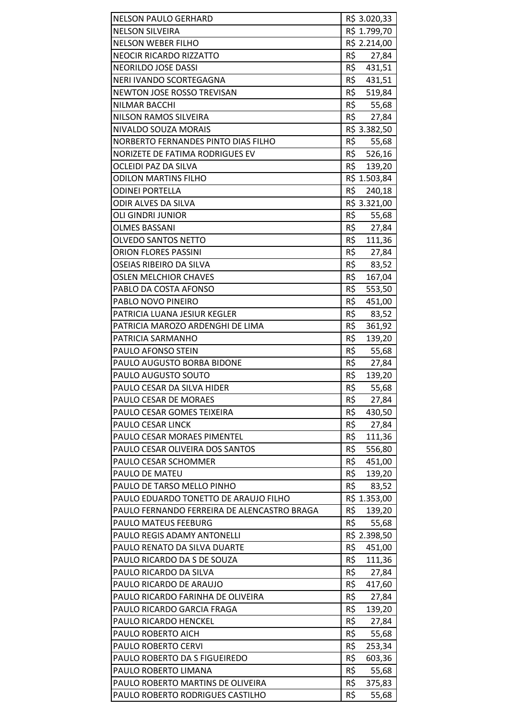| <b>NELSON PAULO GERHARD</b>                 | R\$ 3.020,33           |
|---------------------------------------------|------------------------|
| <b>NELSON SILVEIRA</b>                      | R\$ 1.799,70           |
| <b>NELSON WEBER FILHO</b>                   | R\$ 2.214,00           |
| <b>NEOCIR RICARDO RIZZATTO</b>              | R\$<br>27,84           |
| <b>NEORILDO JOSE DASSI</b>                  | R\$<br>431,51          |
| NERI IVANDO SCORTEGAGNA                     | R\$<br>431,51          |
| NEWTON JOSE ROSSO TREVISAN                  | R\$<br>519,84          |
| NILMAR BACCHI                               | R\$ 55,68              |
| NILSON RAMOS SILVEIRA                       | R\$<br>27,84           |
| <b>NIVALDO SOUZA MORAIS</b>                 | R\$ 3.382,50           |
| NORBERTO FERNANDES PINTO DIAS FILHO         | R\$<br>55,68           |
| NORIZETE DE FATIMA RODRIGUES EV             | R\$<br>526,16          |
| OCLEIDI PAZ DA SILVA                        | R\$<br>139,20          |
| ODILON MARTINS FILHO                        | R\$ 1.503,84           |
| <b>ODINEI PORTELLA</b>                      | R\$<br>240,18          |
| ODIR ALVES DA SILVA                         | R\$ 3.321,00           |
| OLI GINDRI JUNIOR                           | R\$<br>55,68           |
| <b>OLMES BASSANI</b>                        | R\$<br>27,84           |
| OLVEDO SANTOS NETTO                         | R\$<br>111,36          |
| <b>ORION FLORES PASSINI</b>                 | R\$<br>27,84           |
| OSEIAS RIBEIRO DA SILVA                     | R\$<br>83,52           |
| <b>OSLEN MELCHIOR CHAVES</b>                | R\$<br>167,04          |
| PABLO DA COSTA AFONSO                       | R\$<br>553,50          |
| PABLO NOVO PINEIRO                          | R\$<br>451,00          |
| PATRICIA LUANA JESIUR KEGLER                | R\$<br>83,52           |
| PATRICIA MAROZO ARDENGHI DE LIMA            | R\$<br>361,92          |
| PATRICIA SARMANHO                           | R\$<br>139,20          |
| PAULO AFONSO STEIN                          | R\$<br>55,68           |
| PAULO AUGUSTO BORBA BIDONE                  | R\$<br>27,84           |
| PAULO AUGUSTO SOUTO                         | R\$                    |
|                                             | 139,20<br>R\$<br>55,68 |
| PAULO CESAR DA SILVA HIDER                  |                        |
| PAULO CESAR DE MORAES                       | R\$<br>27,84           |
| PAULO CESAR GOMES TEIXEIRA                  | R\$<br>430,50          |
| <b>PAULO CESAR LINCK</b>                    | R\$<br>27,84           |
| PAULO CESAR MORAES PIMENTEL                 | R\$<br>111,36          |
| PAULO CESAR OLIVEIRA DOS SANTOS             | R\$<br>556,80          |
| PAULO CESAR SCHOMMER                        | R\$<br>451,00          |
| PAULO DE MATEU                              | R\$<br>139,20          |
| PAULO DE TARSO MELLO PINHO                  | R\$<br>83,52           |
| PAULO EDUARDO TONETTO DE ARAUJO FILHO       | R\$ 1.353,00           |
| PAULO FERNANDO FERREIRA DE ALENCASTRO BRAGA | R\$<br>139,20          |
| PAULO MATEUS FEEBURG                        | R\$<br>55,68           |
| PAULO REGIS ADAMY ANTONELLI                 | R\$ 2.398,50           |
| PAULO RENATO DA SILVA DUARTE                | R\$<br>451,00          |
| PAULO RICARDO DA S DE SOUZA                 | R\$<br>111,36          |
| PAULO RICARDO DA SILVA                      | R\$<br>27,84           |
| PAULO RICARDO DE ARAUJO                     | R\$<br>417,60          |
| PAULO RICARDO FARINHA DE OLIVEIRA           | R\$<br>27,84           |
| PAULO RICARDO GARCIA FRAGA                  | R\$<br>139,20          |
| PAULO RICARDO HENCKEL                       | R\$<br>27,84           |
| PAULO ROBERTO AICH                          | R\$<br>55,68           |
| PAULO ROBERTO CERVI                         | R\$<br>253,34          |
| PAULO ROBERTO DA S FIGUEIREDO               | R\$<br>603,36          |
| PAULO ROBERTO LIMANA                        | R\$<br>55,68           |
| PAULO ROBERTO MARTINS DE OLIVEIRA           | R\$<br>375,83          |
| PAULO ROBERTO RODRIGUES CASTILHO            | R\$<br>55,68           |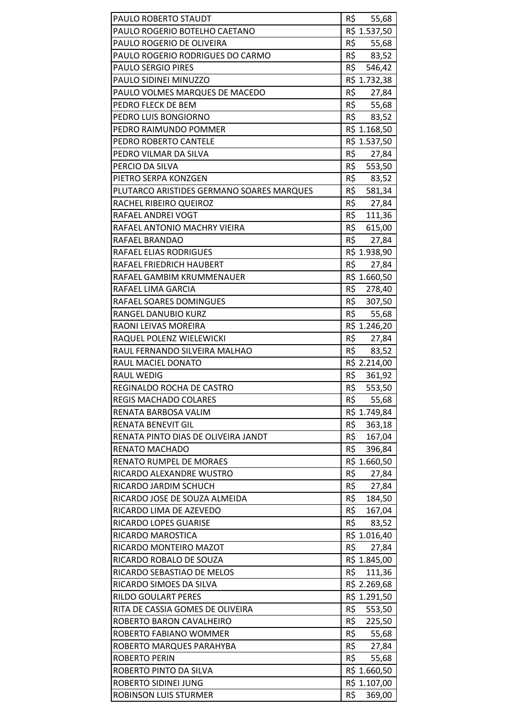| PAULO ROBERTO STAUDT                      | R\$ 55,68     |
|-------------------------------------------|---------------|
| PAULO ROGERIO BOTELHO CAETANO             | R\$ 1.537,50  |
|                                           |               |
| <b>PAULO ROGERIO DE OLIVEIRA</b>          | R\$<br>55,68  |
| PAULO ROGERIO RODRIGUES DO CARMO          | R\$<br>83,52  |
| <b>PAULO SERGIO PIRES</b>                 | R\$<br>546,42 |
| PAULO SIDINEI MINUZZO                     | R\$ 1.732,38  |
| PAULO VOLMES MARQUES DE MACEDO            | R\$<br>27,84  |
| PEDRO FLECK DE BEM                        | R\$ 55,68     |
| PEDRO LUIS BONGIORNO                      | R\$<br>83,52  |
| PEDRO RAIMUNDO POMMER                     | R\$ 1.168,50  |
| PEDRO ROBERTO CANTELE                     | R\$ 1.537,50  |
| PEDRO VILMAR DA SILVA                     | R\$<br>27,84  |
| PERCIO DA SILVA                           | R\$<br>553,50 |
| PIETRO SERPA KONZGEN                      | R\$<br>83,52  |
| PLUTARCO ARISTIDES GERMANO SOARES MARQUES | R\$ 581,34    |
| RACHEL RIBEIRO QUEIROZ                    | R\$ 27,84     |
| RAFAEL ANDREI VOGT                        | R\$<br>111,36 |
| RAFAEL ANTONIO MACHRY VIEIRA              | R\$<br>615,00 |
| RAFAEL BRANDAO                            | R\$<br>27,84  |
| RAFAEL ELIAS RODRIGUES                    | R\$ 1.938,90  |
| RAFAEL FRIEDRICH HAUBERT                  | R\$<br>27,84  |
| RAFAEL GAMBIM KRUMMENAUER                 | R\$ 1.660,50  |
| RAFAEL LIMA GARCIA                        | R\$<br>278,40 |
| RAFAEL SOARES DOMINGUES                   | R\$<br>307,50 |
| RANGEL DANUBIO KURZ                       | R\$<br>55,68  |
| RAONI LEIVAS MOREIRA                      | R\$ 1.246,20  |
| RAQUEL POLENZ WIELEWICKI                  | R\$<br>27,84  |
|                                           | R\$<br>83,52  |
| RAUL FERNANDO SILVEIRA MALHAO             |               |
| <b>RAUL MACIEL DONATO</b>                 | R\$ 2.214,00  |
| <b>RAUL WEDIG</b>                         | R\$<br>361,92 |
| REGINALDO ROCHA DE CASTRO                 | R\$<br>553,50 |
| <b>REGIS MACHADO COLARES</b>              | R\$<br>55,68  |
| RENATA BARBOSA VALIM                      | R\$ 1.749,84  |
| RENATA BENEVIT GIL                        | R\$<br>363,18 |
| RENATA PINTO DIAS DE OLIVEIRA JANDT       | R\$<br>167,04 |
| <b>RENATO MACHADO</b>                     | R\$<br>396,84 |
| RENATO RUMPEL DE MORAES                   | R\$ 1.660,50  |
| RICARDO ALEXANDRE WUSTRO                  | R\$<br>27,84  |
| RICARDO JARDIM SCHUCH                     | R\$<br>27,84  |
| RICARDO JOSE DE SOUZA ALMEIDA             | R\$<br>184,50 |
| RICARDO LIMA DE AZEVEDO                   | R\$<br>167,04 |
| RICARDO LOPES GUARISE                     | R\$<br>83,52  |
| RICARDO MAROSTICA                         | R\$ 1.016,40  |
| RICARDO MONTEIRO MAZOT                    | R\$<br>27,84  |
| RICARDO ROBALO DE SOUZA                   | R\$ 1.845,00  |
| RICARDO SEBASTIAO DE MELOS                | R\$<br>111,36 |
| RICARDO SIMOES DA SILVA                   | R\$ 2.269,68  |
| <b>RILDO GOULART PERES</b>                | R\$ 1.291,50  |
| RITA DE CASSIA GOMES DE OLIVEIRA          | R\$<br>553,50 |
| ROBERTO BARON CAVALHEIRO                  | R\$<br>225,50 |
| ROBERTO FABIANO WOMMER                    | R\$<br>55,68  |
| ROBERTO MARQUES PARAHYBA                  | R\$<br>27,84  |
| ROBERTO PERIN                             | R\$<br>55,68  |
| ROBERTO PINTO DA SILVA                    | R\$ 1.660,50  |
| ROBERTO SIDINEI JUNG                      | R\$ 1.107,00  |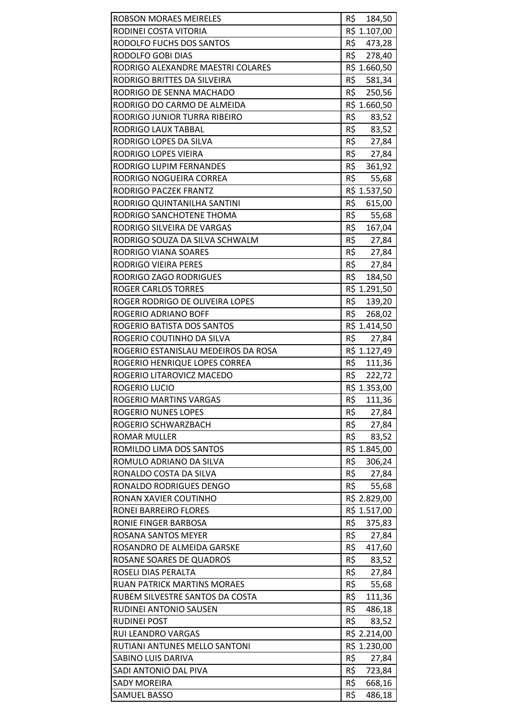| <b>ROBSON MORAES MEIRELES</b>       | $R\overline{S}$<br>184,50 |
|-------------------------------------|---------------------------|
| RODINEI COSTA VITORIA               | R\$ 1.107,00              |
| RODOLFO FUCHS DOS SANTOS            | R\$ 473,28                |
| RODOLFO GOBI DIAS                   | R\$<br>278,40             |
| RODRIGO ALEXANDRE MAESTRI COLARES   | R\$ 1.660,50              |
| RODRIGO BRITTES DA SILVEIRA         | $R\$ 581,34               |
| RODRIGO DE SENNA MACHADO            | R\$<br>250,56             |
| RODRIGO DO CARMO DE ALMEIDA         | R\$ 1.660,50              |
| RODRIGO JUNIOR TURRA RIBEIRO        | R\$<br>83,52              |
| RODRIGO LAUX TABBAL                 | R\$ 83,52                 |
| RODRIGO LOPES DA SILVA              | $R\$ 27,84                |
| RODRIGO LOPES VIEIRA                | R\$ 27,84                 |
| RODRIGO LUPIM FERNANDES             | R\$ 361,92                |
| RODRIGO NOGUEIRA CORREA             | R\$<br>55,68              |
| RODRIGO PACZEK FRANTZ               | R\$ 1.537,50              |
| RODRIGO QUINTANILHA SANTINI         | R\$<br>615,00             |
| RODRIGO SANCHOTENE THOMA            | R\$<br>55,68              |
| RODRIGO SILVEIRA DE VARGAS          | R\$<br>167,04             |
| RODRIGO SOUZA DA SILVA SCHWALM      | R\$<br>27,84              |
| RODRIGO VIANA SOARES                | R\$ 27,84                 |
| RODRIGO VIEIRA PERES                | $R\overline{5}$ 27,84     |
| RODRIGO ZAGO RODRIGUES              | R\$<br>184,50             |
| <b>ROGER CARLOS TORRES</b>          | R\$ 1.291,50              |
| ROGER RODRIGO DE OLIVEIRA LOPES     | $R\zeta$<br>139,20        |
| ROGERIO ADRIANO BOFF                | R\$<br>268,02             |
| ROGERIO BATISTA DOS SANTOS          | R\$ 1.414,50              |
| ROGERIO COUTINHO DA SILVA           | R\$<br>27,84              |
| ROGERIO ESTANISLAU MEDEIROS DA ROSA | R\$ 1.127,49              |
| ROGERIO HENRIQUE LOPES CORREA       | R\$<br>111,36             |
| ROGERIO LITAROVICZ MACEDO           | R\$<br>222,72             |
| ROGERIO LUCIO                       | R\$ 1.353,00              |
| ROGERIO MARTINS VARGAS              | R\$<br>111,36             |
| ROGERIO NUNES LOPES                 | R\$<br>27,84              |
| ROGERIO SCHWARZBACH                 | R\$<br>27,84              |
| <b>ROMAR MULLER</b>                 | R\$<br>83,52              |
| ROMILDO LIMA DOS SANTOS             | R\$ 1.845,00              |
| ROMULO ADRIANO DA SILVA             | R\$<br>306,24             |
| RONALDO COSTA DA SILVA              | R\$<br>27,84              |
| RONALDO RODRIGUES DENGO             | R\$<br>55,68              |
| RONAN XAVIER COUTINHO               | R\$ 2.829,00              |
| RONEI BARREIRO FLORES               | R\$ 1.517,00              |
| RONIE FINGER BARBOSA                | R\$<br>375,83             |
| ROSANA SANTOS MEYER                 | R\$<br>27,84              |
| ROSANDRO DE ALMEIDA GARSKE          | R\$<br>417,60             |
| ROSANE SOARES DE QUADROS            | R\$<br>83,52              |
| ROSELI DIAS PERALTA                 | R\$<br>27,84              |
| RUAN PATRICK MARTINS MORAES         | R\$<br>55,68              |
| RUBEM SILVESTRE SANTOS DA COSTA     | R\$<br>111,36             |
| RUDINEI ANTONIO SAUSEN              | R\$<br>486,18             |
| <b>RUDINEI POST</b>                 | R\$<br>83,52              |
| RUI LEANDRO VARGAS                  | R\$ 2.214,00              |
| RUTIANI ANTUNES MELLO SANTONI       | R\$ 1.230,00              |
| SABINO LUIS DARIVA                  | R\$<br>27,84              |
| SADI ANTONIO DAL PIVA               | R\$<br>723,84             |
| <b>SADY MOREIRA</b>                 | R\$<br>668,16             |
|                                     |                           |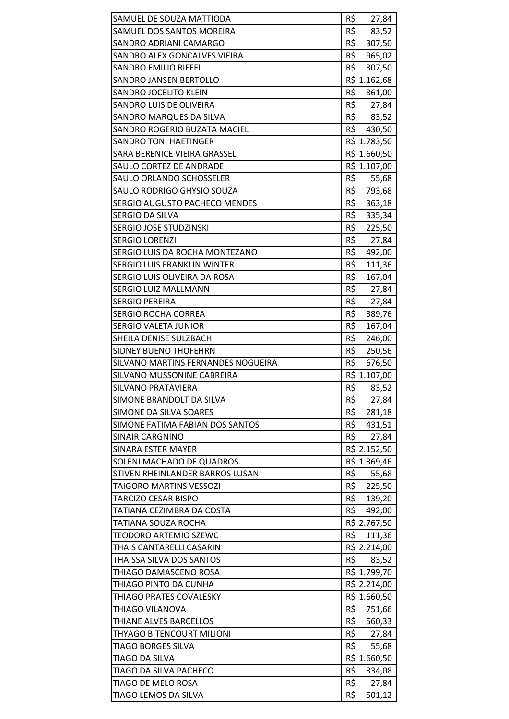| SAMUEL DE SOUZA MATTIODA             | R\$<br>27,84  |
|--------------------------------------|---------------|
| SAMUEL DOS SANTOS MOREIRA            | R\$<br>83,52  |
| SANDRO ADRIANI CAMARGO               | R\$<br>307,50 |
| SANDRO ALEX GONCALVES VIEIRA         | R\$<br>965,02 |
| SANDRO EMILIO RIFFEL                 | R\$<br>307,50 |
| SANDRO JANSEN BERTOLLO               | R\$ 1.162,68  |
| SANDRO JOCELITO KLEIN                | R\$<br>861,00 |
| SANDRO LUIS DE OLIVEIRA              | R\$<br>27,84  |
| SANDRO MARQUES DA SILVA              | R\$<br>83,52  |
| SANDRO ROGERIO BUZATA MACIEL         | R\$ 430,50    |
| <b>SANDRO TONI HAETINGER</b>         | R\$ 1.783,50  |
| SARA BERENICE VIEIRA GRASSEL         | R\$ 1.660,50  |
| SAULO CORTEZ DE ANDRADE              | R\$ 1.107,00  |
| <b>SAULO ORLANDO SCHOSSELER</b>      | R\$<br>55,68  |
| SAULO RODRIGO GHYSIO SOUZA           | R\$ 793,68    |
| <b>SERGIO AUGUSTO PACHECO MENDES</b> | R\$<br>363,18 |
| SERGIO DA SILVA                      | R\$<br>335,34 |
| SERGIO JOSE STUDZINSKI               | R\$<br>225,50 |
| <b>SERGIO LORENZI</b>                | R\$<br>27,84  |
| SERGIO LUIS DA ROCHA MONTEZANO       | R\$<br>492,00 |
| SERGIO LUIS FRANKLIN WINTER          | R\$<br>111,36 |
| SERGIO LUIS OLIVEIRA DA ROSA         | R\$<br>167,04 |
| <b>SERGIO LUIZ MALLMANN</b>          | R\$<br>27,84  |
| <b>SERGIO PEREIRA</b>                | R\$<br>27,84  |
| SERGIO ROCHA CORREA                  | R\$<br>389,76 |
| SERGIO VALETA JUNIOR                 | R\$<br>167,04 |
| SHEILA DENISE SULZBACH               | R\$<br>246,00 |
| <b>SIDNEY BUENO THOFEHRN</b>         | R\$<br>250,56 |
| SILVANO MARTINS FERNANDES NOGUEIRA   | R\$<br>676,50 |
| SILVANO MUSSONINE CABREIRA           | R\$ 1.107,00  |
| SILVANO PRATAVIERA                   | R\$<br>83,52  |
| SIMONE BRANDOLT DA SILVA             | R\$<br>27,84  |
| SIMONE DA SILVA SOARES               | R\$<br>281,18 |
| SIMONE FATIMA FABIAN DOS SANTOS      | R\$<br>431,51 |
| <b>SINAIR CARGNINO</b>               | R\$<br>27,84  |
| <b>SINARA ESTER MAYER</b>            | R\$ 2.152,50  |
| SOLENI MACHADO DE QUADROS            | R\$ 1.369,46  |
| STIVEN RHEINLANDER BARROS LUSANI     | R\$<br>55,68  |
| TAIGORO MARTINS VESSOZI              | R\$<br>225,50 |
| <b>TARCIZO CESAR BISPO</b>           | R\$<br>139,20 |
| TATIANA CEZIMBRA DA COSTA            | R\$<br>492,00 |
| TATIANA SOUZA ROCHA                  | R\$ 2.767,50  |
| TEODORO ARTEMIO SZEWC                | R\$<br>111,36 |
| THAIS CANTARELLI CASARIN             | R\$ 2.214,00  |
| THAISSA SILVA DOS SANTOS             | R\$<br>83,52  |
| THIAGO DAMASCENO ROSA                | R\$ 1.799,70  |
| THIAGO PINTO DA CUNHA                | R\$ 2.214,00  |
| THIAGO PRATES COVALESKY              | R\$ 1.660,50  |
| THIAGO VILANOVA                      | R\$<br>751,66 |
| THIANE ALVES BARCELLOS               | R\$<br>560,33 |
| THYAGO BITENCOURT MILIONI            | R\$<br>27,84  |
| TIAGO BORGES SILVA                   | R\$<br>55,68  |
| TIAGO DA SILVA                       | R\$ 1.660,50  |
| TIAGO DA SILVA PACHECO               | R\$<br>334,08 |
| TIAGO DE MELO ROSA                   | R\$<br>27,84  |
| TIAGO LEMOS DA SILVA                 | R\$<br>501,12 |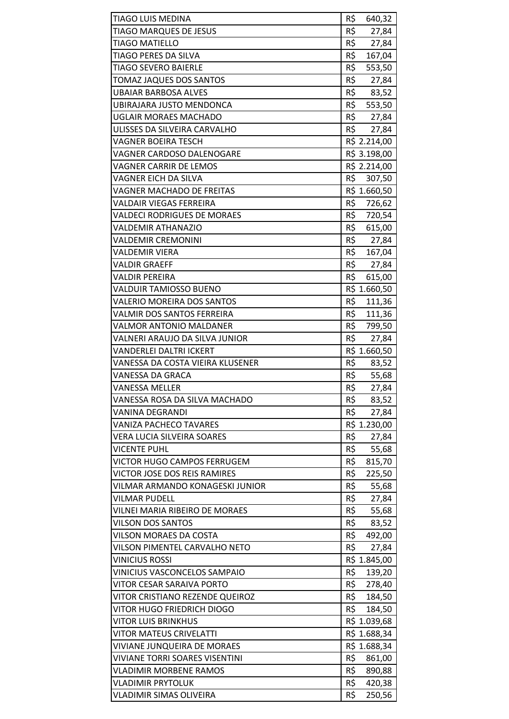| <b>TIAGO LUIS MEDINA</b>              | R\$<br>640,32         |
|---------------------------------------|-----------------------|
| TIAGO MARQUES DE JESUS                | R\$<br>27,84          |
| <b>TIAGO MATIELLO</b>                 | R\$<br>27,84          |
| TIAGO PERES DA SILVA                  | R\$<br>167,04         |
| TIAGO SEVERO BAIERLE                  | R\$<br>553,50         |
| TOMAZ JAQUES DOS SANTOS               | R\$<br>27,84          |
| <b>UBAIAR BARBOSA ALVES</b>           | R\$<br>83,52          |
| UBIRAJARA JUSTO MENDONCA              | R\$<br>553,50         |
| UGLAIR MORAES MACHADO                 | R\$<br>27,84          |
| ULISSES DA SILVEIRA CARVALHO          | R\$<br>27,84          |
| VAGNER BOEIRA TESCH                   | R\$ 2.214,00          |
| VAGNER CARDOSO DALENOGARE             | R\$ 3.198,00          |
| <b>VAGNER CARRIR DE LEMOS</b>         | R\$ 2.214,00          |
| VAGNER EICH DA SILVA                  | R\$<br>307,50         |
| VAGNER MACHADO DE FREITAS             | R\$ 1.660,50          |
| <b>VALDAIR VIEGAS FERREIRA</b>        | R\$ 726,62            |
| <b>VALDECI RODRIGUES DE MORAES</b>    | R\$ 720,54            |
| <b>VALDEMIR ATHANAZIO</b>             | R\$<br>615,00         |
| VALDEMIR CREMONINI                    | R\$<br>27,84          |
| VALDEMIR VIERA                        | R\$ 167,04            |
| <b>VALDIR GRAEFF</b>                  | $R\overline{5}$ 27,84 |
| VALDIR PEREIRA                        | R\$<br>615,00         |
| <b>VALDUIR TAMIOSSO BUENO</b>         | R\$ 1.660,50          |
| VALERIO MOREIRA DOS SANTOS            | R\$<br>111,36         |
| VALMIR DOS SANTOS FERREIRA            | R\$<br>111,36         |
| <b>VALMOR ANTONIO MALDANER</b>        | R\$ 799,50            |
| VALNERI ARAUJO DA SILVA JUNIOR        | R\$<br>27,84          |
| VANDERLEI DALTRI ICKERT               | R\$ 1.660,50          |
| VANESSA DA COSTA VIEIRA KLUSENER      | R\$<br>83,52          |
| VANESSA DA GRACA                      | R\$<br>55,68          |
| VANESSA MELLER                        | R\$<br>27,84          |
| VANESSA ROSA DA SILVA MACHADO         | R\$<br>83,52          |
| VANINA DEGRANDI                       | R\$<br>27,84          |
| VANIZA PACHECO TAVARES                | R\$ 1.230,00          |
| VERA LUCIA SILVEIRA SOARES            | R\$<br>27,84          |
| <b>VICENTE PUHL</b>                   | R\$<br>55,68          |
| VICTOR HUGO CAMPOS FERRUGEM           | R\$<br>815,70         |
| VICTOR JOSE DOS REIS RAMIRES          | R\$<br>225,50         |
| VILMAR ARMANDO KONAGESKI JUNIOR       | R\$<br>55,68          |
| <b>VILMAR PUDELL</b>                  | R\$<br>27,84          |
| VILNEI MARIA RIBEIRO DE MORAES        | R\$<br>55,68          |
| <b>VILSON DOS SANTOS</b>              | R\$<br>83,52          |
| VILSON MORAES DA COSTA                | R\$<br>492,00         |
| VILSON PIMENTEL CARVALHO NETO         | R\$<br>27,84          |
| <b>VINICIUS ROSSI</b>                 | R\$ 1.845,00          |
| VINICIUS VASCONCELOS SAMPAIO          | R\$<br>139,20         |
| VITOR CESAR SARAIVA PORTO             | R\$<br>278,40         |
| VITOR CRISTIANO REZENDE QUEIROZ       | R\$<br>184,50         |
| VITOR HUGO FRIEDRICH DIOGO            | R\$<br>184,50         |
| <b>VITOR LUIS BRINKHUS</b>            | R\$ 1.039,68          |
| <b>VITOR MATEUS CRIVELATTI</b>        | R\$ 1.688,34          |
| VIVIANE JUNQUEIRA DE MORAES           | R\$ 1.688,34          |
| <b>VIVIANE TORRI SOARES VISENTINI</b> | R\$<br>861,00         |
| <b>VLADIMIR MORBENE RAMOS</b>         | R\$<br>890,88         |
| VLADIMIR PRYTOLUK                     | R\$<br>420,38         |
|                                       | R\$<br>250,56         |